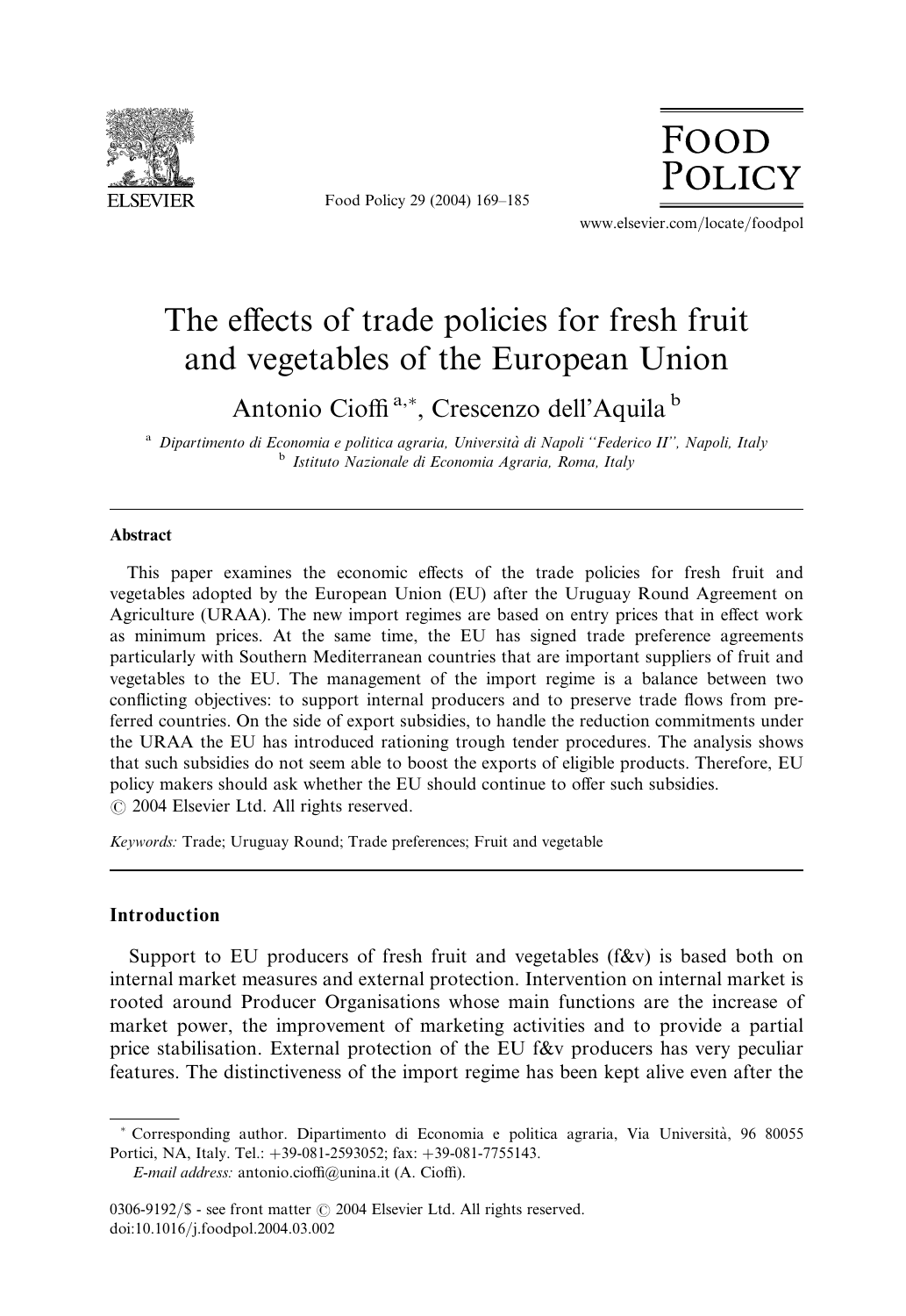

Food Policy 29 (2004) 169–185

FOOD POLICY

www.elsevier.com/locate/foodpol

# The effects of trade policies for fresh fruit and vegetables of the European Union

Antonio Cioffi<sup>a,\*</sup>, Crescenzo dell'Aquila<sup>b</sup>

<sup>a</sup> Dipartimento di Economia e politica agraria, Università di Napoli "Federico II", Napoli, Italy <sup>b</sup> Istituto Nazionale di Economia Agraria, Roma, Italy

#### Abstract

This paper examines the economic effects of the trade policies for fresh fruit and vegetables adopted by the European Union (EU) after the Uruguay Round Agreement on Agriculture (URAA). The new import regimes are based on entry prices that in effect work as minimum prices. At the same time, the EU has signed trade preference agreements particularly with Southern Mediterranean countries that are important suppliers of fruit and vegetables to the EU. The management of the import regime is a balance between two conflicting objectives: to support internal producers and to preserve trade flows from preferred countries. On the side of export subsidies, to handle the reduction commitments under the URAA the EU has introduced rationing trough tender procedures. The analysis shows that such subsidies do not seem able to boost the exports of eligible products. Therefore, EU policy makers should ask whether the EU should continue to offer such subsidies.  $\odot$  2004 Elsevier Ltd. All rights reserved.

Keywords: Trade; Uruguay Round; Trade preferences; Fruit and vegetable

## Introduction

Support to EU producers of fresh fruit and vegetables  $(f\&v)$  is based both on internal market measures and external protection. Intervention on internal market is rooted around Producer Organisations whose main functions are the increase of market power, the improvement of marketing activities and to provide a partial price stabilisation. External protection of the EU f&v producers has very peculiar features. The distinctiveness of the import regime has been kept alive even after the

Corresponding author. Dipartimento di Economia e politica agraria, Via Universita`, 96 80055 Portici, NA, Italy. Tel.: +39-081-2593052; fax: +39-081-7755143.

E-mail address: antonio.cioffi@unina.it (A. Cioffi).

<sup>0306-9192/\$ -</sup> see front matter  $\odot$  2004 Elsevier Ltd. All rights reserved. doi:10.1016/j.foodpol.2004.03.002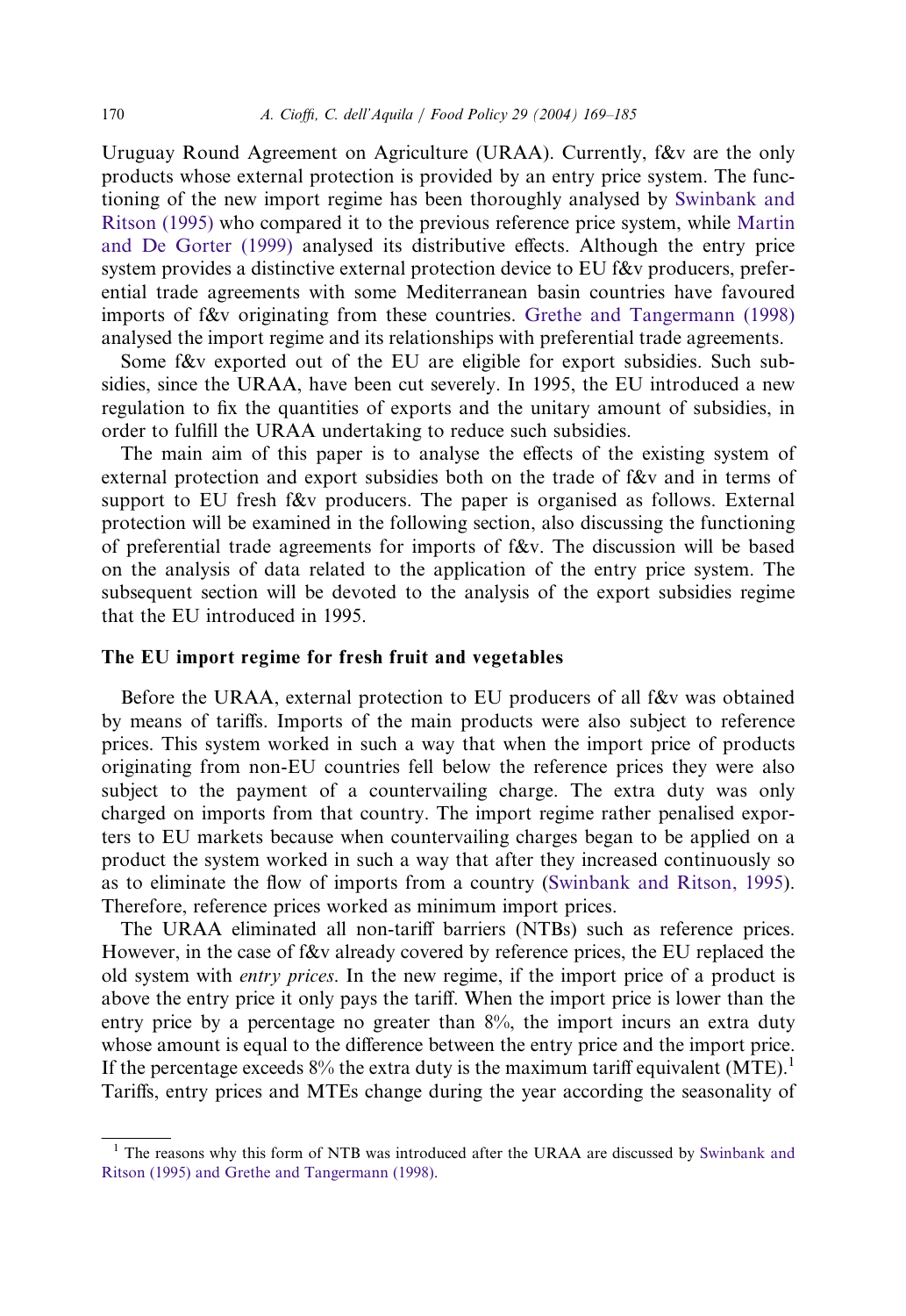Uruguay Round Agreement on Agriculture (URAA). Currently, f&v are the only products whose external protection is provided by an entry price system. The functioning of the new import regime has been thoroughly analysed by [Swinbank and](#page-16-0) [Ritson \(1995\)](#page-16-0) who compared it to the previous reference price system, while [Martin](#page-16-0) [and De Gorter \(1999\)](#page-16-0) analysed its distributive effects. Although the entry price system provides a distinctive external protection device to EU f&v producers, preferential trade agreements with some Mediterranean basin countries have favoured imports of f&v originating from these countries. [Grethe and Tangermann \(1998\)](#page-16-0) analysed the import regime and its relationships with preferential trade agreements.

Some f&v exported out of the EU are eligible for export subsidies. Such subsidies, since the URAA, have been cut severely. In 1995, the EU introduced a new regulation to fix the quantities of exports and the unitary amount of subsidies, in order to fulfill the URAA undertaking to reduce such subsidies.

The main aim of this paper is to analyse the effects of the existing system of external protection and export subsidies both on the trade of f&v and in terms of support to EU fresh f&v producers. The paper is organised as follows. External protection will be examined in the following section, also discussing the functioning of preferential trade agreements for imports of f&v. The discussion will be based on the analysis of data related to the application of the entry price system. The subsequent section will be devoted to the analysis of the export subsidies regime that the EU introduced in 1995.

## The EU import regime for fresh fruit and vegetables

Before the URAA, external protection to EU producers of all f&v was obtained by means of tariffs. Imports of the main products were also subject to reference prices. This system worked in such a way that when the import price of products originating from non-EU countries fell below the reference prices they were also subject to the payment of a countervailing charge. The extra duty was only charged on imports from that country. The import regime rather penalised exporters to EU markets because when countervailing charges began to be applied on a product the system worked in such a way that after they increased continuously so as to eliminate the flow of imports from a country ([Swinbank and Ritson, 1995\)](#page-16-0). Therefore, reference prices worked as minimum import prices.

The URAA eliminated all non-tariff barriers (NTBs) such as reference prices. However, in the case of f&v already covered by reference prices, the EU replaced the old system with entry prices. In the new regime, if the import price of a product is above the entry price it only pays the tariff. When the import price is lower than the entry price by a percentage no greater than 8%, the import incurs an extra duty whose amount is equal to the difference between the entry price and the import price. If the percentage exceeds  $8\%$  the extra duty is the maximum tariff equivalent (MTE).<sup>1</sup> Tariffs, entry prices and MTEs change during the year according the seasonality of

<sup>&</sup>lt;sup>1</sup> The reasons why this form of NTB was introduced after the URAA are discussed by [Swinbank and](#page-16-0) [Ritson \(1995\) and Grethe and Tangermann \(1998\)](#page-16-0).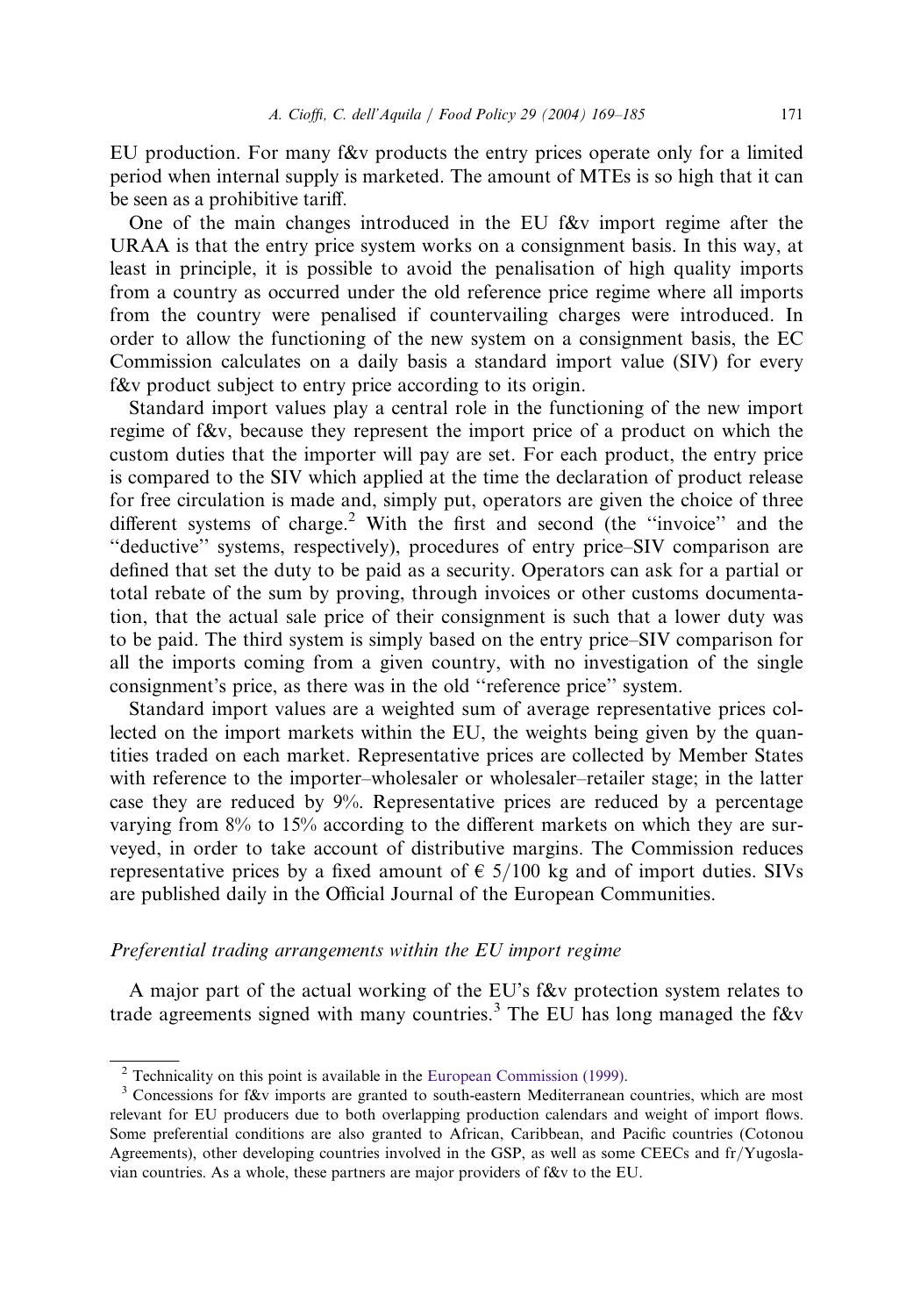EU production. For many f&v products the entry prices operate only for a limited period when internal supply is marketed. The amount of MTEs is so high that it can be seen as a prohibitive tariff.

One of the main changes introduced in the EU f&v import regime after the URAA is that the entry price system works on a consignment basis. In this way, at least in principle, it is possible to avoid the penalisation of high quality imports from a country as occurred under the old reference price regime where all imports from the country were penalised if countervailing charges were introduced. In order to allow the functioning of the new system on a consignment basis, the EC Commission calculates on a daily basis a standard import value (SIV) for every f&v product subject to entry price according to its origin.

Standard import values play a central role in the functioning of the new import regime of f&v, because they represent the import price of a product on which the custom duties that the importer will pay are set. For each product, the entry price is compared to the SIV which applied at the time the declaration of product release for free circulation is made and, simply put, operators are given the choice of three different systems of charge.<sup>2</sup> With the first and second (the ''invoice'' and the ''deductive'' systems, respectively), procedures of entry price–SIV comparison are defined that set the duty to be paid as a security. Operators can ask for a partial or total rebate of the sum by proving, through invoices or other customs documentation, that the actual sale price of their consignment is such that a lower duty was to be paid. The third system is simply based on the entry price–SIV comparison for all the imports coming from a given country, with no investigation of the single consignment's price, as there was in the old ''reference price'' system.

Standard import values are a weighted sum of average representative prices collected on the import markets within the EU, the weights being given by the quantities traded on each market. Representative prices are collected by Member States with reference to the importer–wholesaler or wholesaler–retailer stage; in the latter case they are reduced by 9%. Representative prices are reduced by a percentage varying from 8% to 15% according to the different markets on which they are surveyed, in order to take account of distributive margins. The Commission reduces representative prices by a fixed amount of  $\epsilon$  5/100 kg and of import duties. SIVs are published daily in the Official Journal of the European Communities.

#### Preferential trading arrangements within the EU import regime

A major part of the actual working of the EU's f&v protection system relates to trade agreements signed with many countries.<sup>3</sup> The EU has long managed the f&v

<sup>2</sup> Technicality on this point is available in the [European Commission \(1999\).](#page-15-0)

<sup>&</sup>lt;sup>3</sup> Concessions for f&v imports are granted to south-eastern Mediterranean countries, which are most relevant for EU producers due to both overlapping production calendars and weight of import flows. Some preferential conditions are also granted to African, Caribbean, and Pacific countries (Cotonou Agreements), other developing countries involved in the GSP, as well as some CEECs and fr/Yugoslavian countries. As a whole, these partners are major providers of f&v to the EU.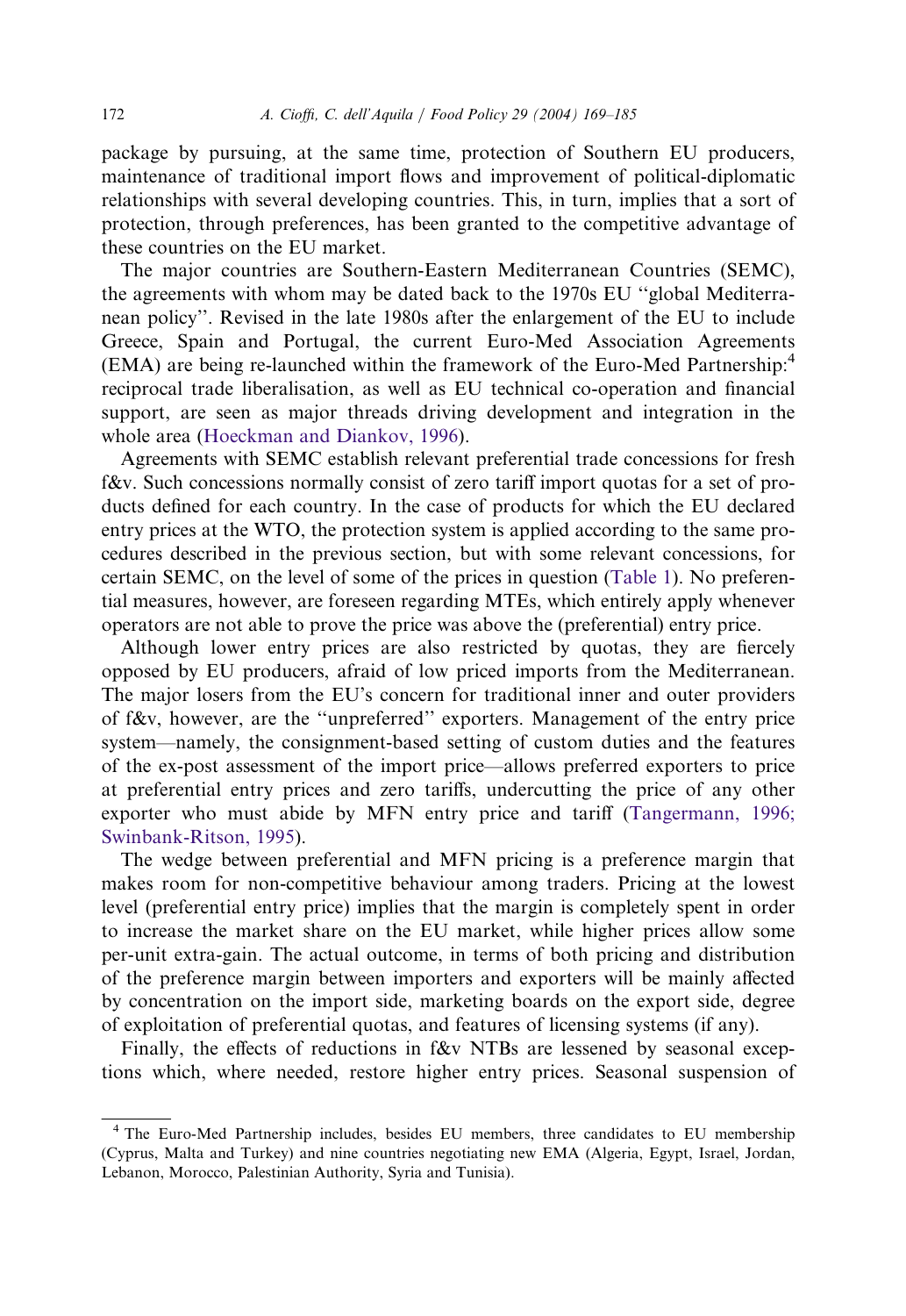package by pursuing, at the same time, protection of Southern EU producers, maintenance of traditional import flows and improvement of political-diplomatic relationships with several developing countries. This, in turn, implies that a sort of protection, through preferences, has been granted to the competitive advantage of these countries on the EU market.

The major countries are Southern-Eastern Mediterranean Countries (SEMC), the agreements with whom may be dated back to the 1970s EU ''global Mediterranean policy''. Revised in the late 1980s after the enlargement of the EU to include Greece, Spain and Portugal, the current Euro-Med Association Agreements (EMA) are being re-launched within the framework of the Euro-Med Partnership:<sup>4</sup> reciprocal trade liberalisation, as well as EU technical co-operation and financial support, are seen as major threads driving development and integration in the whole area [\(Hoeckman and Diankov, 1996\)](#page-16-0).

Agreements with SEMC establish relevant preferential trade concessions for fresh f&v. Such concessions normally consist of zero tariff import quotas for a set of products defined for each country. In the case of products for which the EU declared entry prices at the WTO, the protection system is applied according to the same procedures described in the previous section, but with some relevant concessions, for certain SEMC, on the level of some of the prices in question [\(Table 1](#page-4-0)). No preferential measures, however, are foreseen regarding MTEs, which entirely apply whenever operators are not able to prove the price was above the (preferential) entry price.

Although lower entry prices are also restricted by quotas, they are fiercely opposed by EU producers, afraid of low priced imports from the Mediterranean. The major losers from the EU's concern for traditional inner and outer providers of f&v, however, are the ''unpreferred'' exporters. Management of the entry price system—namely, the consignment-based setting of custom duties and the features of the ex-post assessment of the import price—allows preferred exporters to price at preferential entry prices and zero tariffs, undercutting the price of any other exporter who must abide by MFN entry price and tariff [\(Tangermann, 1996;](#page-16-0) [Swinbank-Ritson, 1995](#page-16-0)).

The wedge between preferential and MFN pricing is a preference margin that makes room for non-competitive behaviour among traders. Pricing at the lowest level (preferential entry price) implies that the margin is completely spent in order to increase the market share on the EU market, while higher prices allow some per-unit extra-gain. The actual outcome, in terms of both pricing and distribution of the preference margin between importers and exporters will be mainly affected by concentration on the import side, marketing boards on the export side, degree of exploitation of preferential quotas, and features of licensing systems (if any).

Finally, the effects of reductions in f&v NTBs are lessened by seasonal exceptions which, where needed, restore higher entry prices. Seasonal suspension of

<sup>4</sup> The Euro-Med Partnership includes, besides EU members, three candidates to EU membership (Cyprus, Malta and Turkey) and nine countries negotiating new EMA (Algeria, Egypt, Israel, Jordan, Lebanon, Morocco, Palestinian Authority, Syria and Tunisia).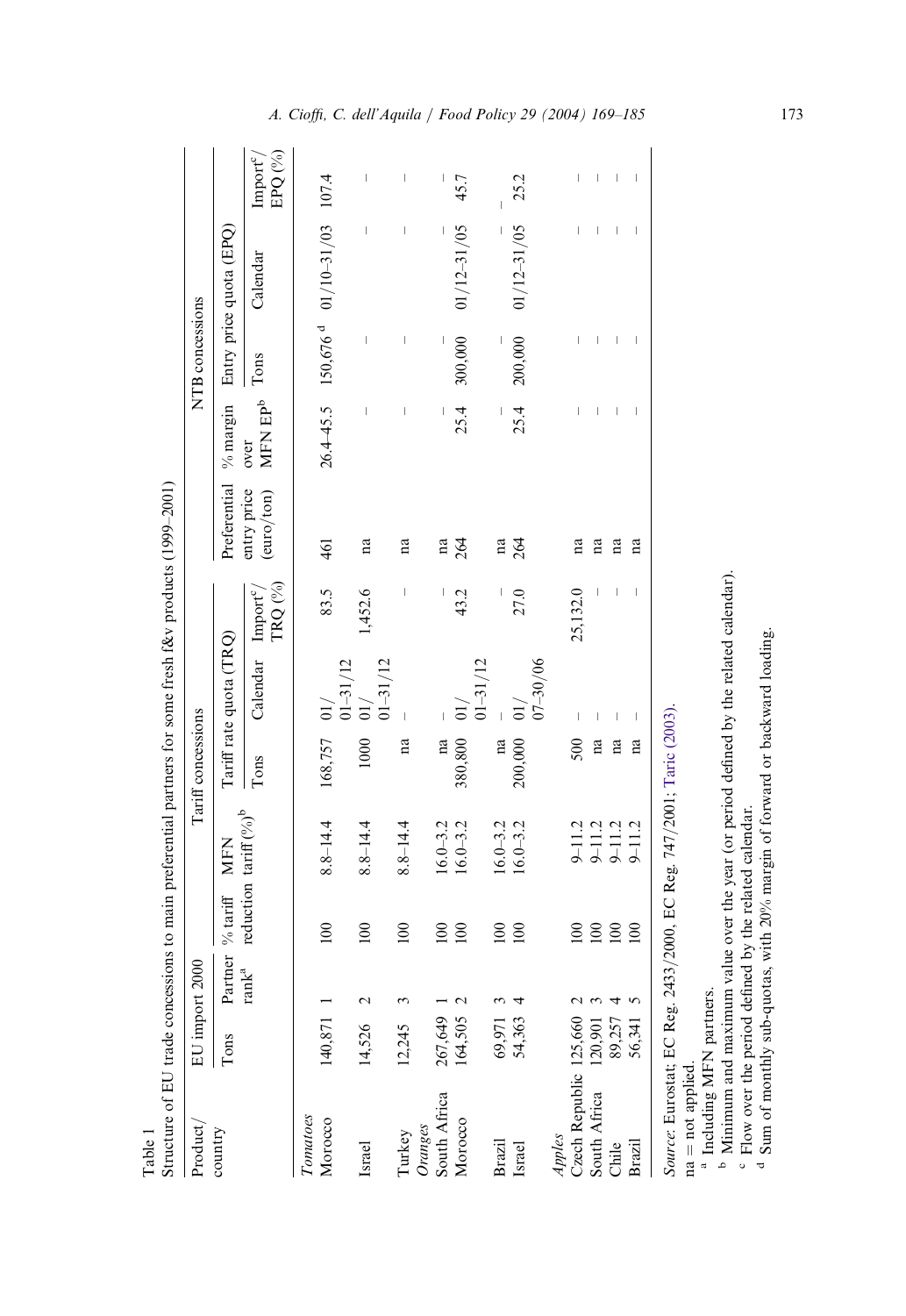| ;                                                                                              |
|------------------------------------------------------------------------------------------------|
| l<br>ľ                                                                                         |
| $\tilde{\zeta}$                                                                                |
|                                                                                                |
|                                                                                                |
|                                                                                                |
| )<br>}                                                                                         |
|                                                                                                |
| $\frac{1}{2}$                                                                                  |
|                                                                                                |
|                                                                                                |
|                                                                                                |
|                                                                                                |
|                                                                                                |
|                                                                                                |
|                                                                                                |
|                                                                                                |
|                                                                                                |
|                                                                                                |
|                                                                                                |
|                                                                                                |
|                                                                                                |
|                                                                                                |
|                                                                                                |
|                                                                                                |
|                                                                                                |
|                                                                                                |
| of ${\tt EII}$ tra ${\tt da}$ concessions to main preferential narthers for some tresh twy $r$ |
|                                                                                                |
|                                                                                                |
| . טבנטבישטבע שטעני היי היי שב                                                                  |

<span id="page-4-0"></span>

| Product                                                             | EU import 2000 |                                      |                      |                          | Tariff concessions |                                               |                                                                                                                                                                                                                                                                                                                                                                                  |                           |                    | NTB concessions |                                                          |                                                                                                                                                                                                                                                                                                                                                                                  |
|---------------------------------------------------------------------|----------------|--------------------------------------|----------------------|--------------------------|--------------------|-----------------------------------------------|----------------------------------------------------------------------------------------------------------------------------------------------------------------------------------------------------------------------------------------------------------------------------------------------------------------------------------------------------------------------------------|---------------------------|--------------------|-----------------|----------------------------------------------------------|----------------------------------------------------------------------------------------------------------------------------------------------------------------------------------------------------------------------------------------------------------------------------------------------------------------------------------------------------------------------------------|
| country                                                             | Tons           |                                      | Partner % tariff MFN |                          |                    | Tariff rate quota (TRQ)                       |                                                                                                                                                                                                                                                                                                                                                                                  | Preferential % margin     |                    |                 | Entry price quota (EPQ)                                  |                                                                                                                                                                                                                                                                                                                                                                                  |
|                                                                     |                | $\mbox{rank}^{\mbox{\scriptsize a}}$ |                      | reduction tariff $(%)^b$ | Tons               | Calendar Import <sup>c</sup> /                | TRQ (%)                                                                                                                                                                                                                                                                                                                                                                          | entry price<br>(euro/ton) | MFN $EP^b$<br>over | Tons            | Calendar                                                 | EPQ <sup>(%)</sup><br>Import <sup>c</sup>                                                                                                                                                                                                                                                                                                                                        |
| Tomatoes<br>Morocco                                                 | 140,871        |                                      | 100                  | $8.8 - 14.4$             | 168,757            | $\frac{1}{2}$                                 | 83.5                                                                                                                                                                                                                                                                                                                                                                             | 461                       |                    |                 | $26.4-45.5$ $150,676$ <sup>d</sup> $01/10-31/03$ $107.4$ |                                                                                                                                                                                                                                                                                                                                                                                  |
| Israel                                                              | 14,526         | $\mathcal{C}$                        | 100                  | $8.8 - 14.4$             | 1000               | $01 - 31/12$<br>$11 - 31/12$<br>$\frac{1}{2}$ | 1,452.6                                                                                                                                                                                                                                                                                                                                                                          | $\mathbf{a}$              |                    | I               |                                                          | $\begin{array}{c} \rule{0pt}{2.5ex} \rule{0pt}{2.5ex} \rule{0pt}{2.5ex} \rule{0pt}{2.5ex} \rule{0pt}{2.5ex} \rule{0pt}{2.5ex} \rule{0pt}{2.5ex} \rule{0pt}{2.5ex} \rule{0pt}{2.5ex} \rule{0pt}{2.5ex} \rule{0pt}{2.5ex} \rule{0pt}{2.5ex} \rule{0pt}{2.5ex} \rule{0pt}{2.5ex} \rule{0pt}{2.5ex} \rule{0pt}{2.5ex} \rule{0pt}{2.5ex} \rule{0pt}{2.5ex} \rule{0pt}{2.5ex} \rule{0$ |
| Turkey                                                              | 12,245         |                                      | 100                  | $8.8 - 14.4$             | na                 |                                               | I                                                                                                                                                                                                                                                                                                                                                                                | na                        | I                  | I               | I                                                        | $\mid$                                                                                                                                                                                                                                                                                                                                                                           |
| Oranges<br>South Africa                                             | 267,649        |                                      | 100                  | $16.0 - 3.2$             | na                 |                                               |                                                                                                                                                                                                                                                                                                                                                                                  | $\mathbf{a}$              |                    |                 |                                                          |                                                                                                                                                                                                                                                                                                                                                                                  |
| Morocco                                                             | 164,505        |                                      | 100                  | $16.0 - 3.2$             | 380,800            |                                               | 43.2                                                                                                                                                                                                                                                                                                                                                                             | 264                       | 25.4               | 300,000         | $01/12 - 31/05$                                          | 45.7                                                                                                                                                                                                                                                                                                                                                                             |
| Brazil                                                              | 69,971         |                                      | 100                  | $16.0 - 3.2$             | na                 | $01 - 31/12$                                  | I                                                                                                                                                                                                                                                                                                                                                                                | $\mathbf{a}$              |                    |                 |                                                          |                                                                                                                                                                                                                                                                                                                                                                                  |
| Israel                                                              | 54,363         |                                      | 100                  | $16.0 - 3.2$             | 200,000            | $07 - 30/06$<br>$\frac{1}{2}$                 | 27.0                                                                                                                                                                                                                                                                                                                                                                             | 264                       | 25.4               | 200,000         | $01/12-31/05$ 25.2                                       |                                                                                                                                                                                                                                                                                                                                                                                  |
| Czech Republic 125,660<br>Apples                                    |                |                                      | 100                  | $9 - 11.2$               | 500                |                                               | 25,132.0                                                                                                                                                                                                                                                                                                                                                                         | na                        | I                  | Ī               |                                                          | I                                                                                                                                                                                                                                                                                                                                                                                |
| South Africa                                                        | 120,901        |                                      | 100                  | $9 - 11.2$               | na                 |                                               |                                                                                                                                                                                                                                                                                                                                                                                  | $\mathbf{a}$              |                    |                 |                                                          | I                                                                                                                                                                                                                                                                                                                                                                                |
| Chile                                                               | 89,257         |                                      | 100                  | $9 - 11.2$               | na                 |                                               | $\begin{array}{c} \rule{0pt}{2.5ex} \rule{0pt}{2.5ex} \rule{0pt}{2.5ex} \rule{0pt}{2.5ex} \rule{0pt}{2.5ex} \rule{0pt}{2.5ex} \rule{0pt}{2.5ex} \rule{0pt}{2.5ex} \rule{0pt}{2.5ex} \rule{0pt}{2.5ex} \rule{0pt}{2.5ex} \rule{0pt}{2.5ex} \rule{0pt}{2.5ex} \rule{0pt}{2.5ex} \rule{0pt}{2.5ex} \rule{0pt}{2.5ex} \rule{0pt}{2.5ex} \rule{0pt}{2.5ex} \rule{0pt}{2.5ex} \rule{0$ | na                        | I                  | I               | I                                                        | I                                                                                                                                                                                                                                                                                                                                                                                |
| Brazil                                                              | 56,341         |                                      | 100                  | $9 - 11.2$               | na                 |                                               | I                                                                                                                                                                                                                                                                                                                                                                                | na                        | Ī                  |                 |                                                          | $\overline{\phantom{a}}$                                                                                                                                                                                                                                                                                                                                                         |
| Source: Eurostat: EC Res. 2433/2000. EC Res. 747/2001. Taric (2003) |                |                                      |                      |                          |                    |                                               |                                                                                                                                                                                                                                                                                                                                                                                  |                           |                    |                 |                                                          |                                                                                                                                                                                                                                                                                                                                                                                  |

20 M'ce: Eurostat; EU Keg. 2433/2000, EU Keg. 747/2001; 1 and (2003). Source: Eurostat; EC Reg. 2433/2000, EC Reg. 747/2001; Taric [\(2003\)](#page-16-0).

 $\mathtt{na} = \mathtt{not}$  applied. na = not applied.

<sup>a</sup> Including MFN partners.<br>b Minimum and maximum value over the year (or period defined by the related calendar).<br><sup>6</sup> Flow over the period defined by the related calendar. a Including MFN partners.<br>• Minimum and maximum value over the year (or period defined by the related calendar).<br>• Flow over the period defined by the related calendar.<br>• Sum of monthly sub-quotas, with 20% margin of forwa

 $\frac{1}{4}$  Sum of monthly sub-quotas, with 20% margin of forward or backward loading.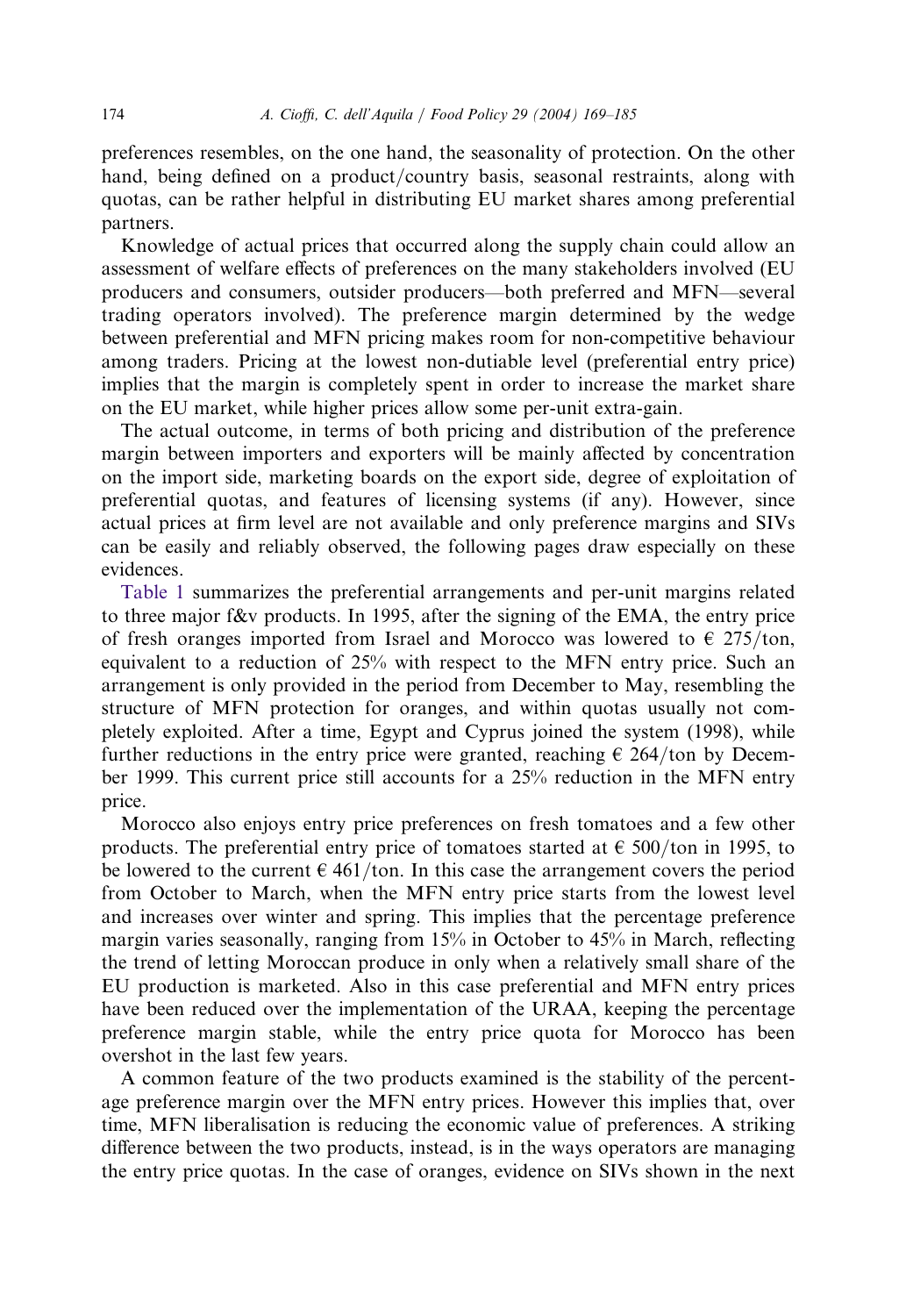preferences resembles, on the one hand, the seasonality of protection. On the other hand, being defined on a product/country basis, seasonal restraints, along with quotas, can be rather helpful in distributing EU market shares among preferential partners.

Knowledge of actual prices that occurred along the supply chain could allow an assessment of welfare effects of preferences on the many stakeholders involved (EU producers and consumers, outsider producers—both preferred and MFN—several trading operators involved). The preference margin determined by the wedge between preferential and MFN pricing makes room for non-competitive behaviour among traders. Pricing at the lowest non-dutiable level (preferential entry price) implies that the margin is completely spent in order to increase the market share on the EU market, while higher prices allow some per-unit extra-gain.

The actual outcome, in terms of both pricing and distribution of the preference margin between importers and exporters will be mainly affected by concentration on the import side, marketing boards on the export side, degree of exploitation of preferential quotas, and features of licensing systems (if any). However, since actual prices at firm level are not available and only preference margins and SIVs can be easily and reliably observed, the following pages draw especially on these evidences.

[Table 1](#page-4-0) summarizes the preferential arrangements and per-unit margins related to three major f&v products. In 1995, after the signing of the EMA, the entry price of fresh oranges imported from Israel and Morocco was lowered to  $\epsilon$  275/ton, equivalent to a reduction of 25% with respect to the MFN entry price. Such an arrangement is only provided in the period from December to May, resembling the structure of MFN protection for oranges, and within quotas usually not completely exploited. After a time, Egypt and Cyprus joined the system (1998), while further reductions in the entry price were granted, reaching  $\epsilon$  264/ton by December 1999. This current price still accounts for a 25% reduction in the MFN entry price.

Morocco also enjoys entry price preferences on fresh tomatoes and a few other products. The preferential entry price of tomatoes started at  $\epsilon$  500/ton in 1995, to be lowered to the current  $\epsilon$  461/ton. In this case the arrangement covers the period from October to March, when the MFN entry price starts from the lowest level and increases over winter and spring. This implies that the percentage preference margin varies seasonally, ranging from 15% in October to 45% in March, reflecting the trend of letting Moroccan produce in only when a relatively small share of the EU production is marketed. Also in this case preferential and MFN entry prices have been reduced over the implementation of the URAA, keeping the percentage preference margin stable, while the entry price quota for Morocco has been overshot in the last few years.

A common feature of the two products examined is the stability of the percentage preference margin over the MFN entry prices. However this implies that, over time, MFN liberalisation is reducing the economic value of preferences. A striking difference between the two products, instead, is in the ways operators are managing the entry price quotas. In the case of oranges, evidence on SIVs shown in the next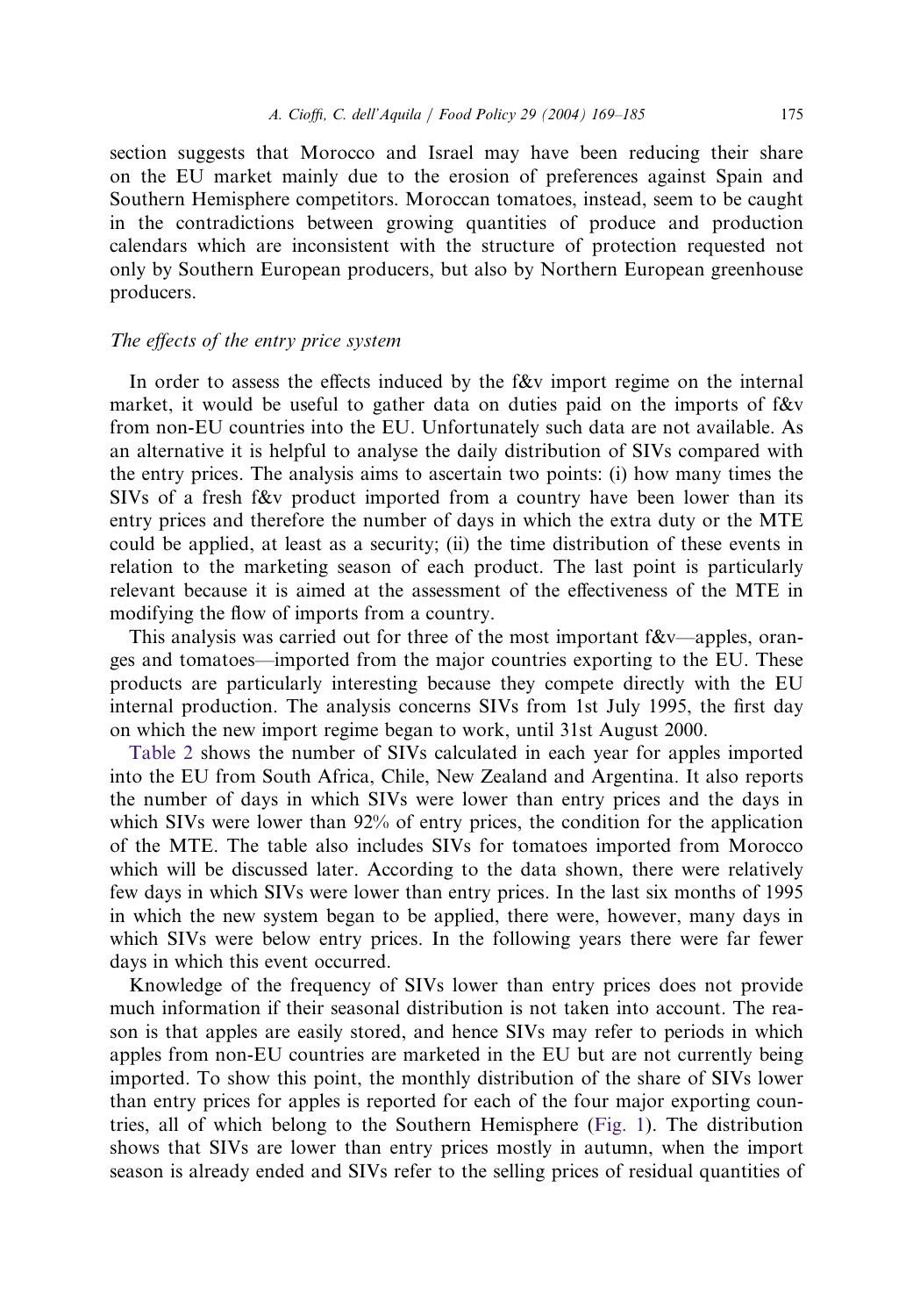section suggests that Morocco and Israel may have been reducing their share on the EU market mainly due to the erosion of preferences against Spain and Southern Hemisphere competitors. Moroccan tomatoes, instead, seem to be caught in the contradictions between growing quantities of produce and production calendars which are inconsistent with the structure of protection requested not only by Southern European producers, but also by Northern European greenhouse producers.

## The effects of the entry price system

In order to assess the effects induced by the f&v import regime on the internal market, it would be useful to gather data on duties paid on the imports of f&v from non-EU countries into the EU. Unfortunately such data are not available. As an alternative it is helpful to analyse the daily distribution of SIVs compared with the entry prices. The analysis aims to ascertain two points: (i) how many times the SIVs of a fresh f&v product imported from a country have been lower than its entry prices and therefore the number of days in which the extra duty or the MTE could be applied, at least as a security; (ii) the time distribution of these events in relation to the marketing season of each product. The last point is particularly relevant because it is aimed at the assessment of the effectiveness of the MTE in modifying the flow of imports from a country.

This analysis was carried out for three of the most important f&v—apples, oranges and tomatoes—imported from the major countries exporting to the EU. These products are particularly interesting because they compete directly with the EU internal production. The analysis concerns SIVs from 1st July 1995, the first day on which the new import regime began to work, until 31st August 2000.

[Table 2](#page-7-0) shows the number of SIVs calculated in each year for apples imported into the EU from South Africa, Chile, New Zealand and Argentina. It also reports the number of days in which SIVs were lower than entry prices and the days in which SIVs were lower than 92% of entry prices, the condition for the application of the MTE. The table also includes SIVs for tomatoes imported from Morocco which will be discussed later. According to the data shown, there were relatively few days in which SIVs were lower than entry prices. In the last six months of 1995 in which the new system began to be applied, there were, however, many days in which SIVs were below entry prices. In the following years there were far fewer days in which this event occurred.

Knowledge of the frequency of SIVs lower than entry prices does not provide much information if their seasonal distribution is not taken into account. The reason is that apples are easily stored, and hence SIVs may refer to periods in which apples from non-EU countries are marketed in the EU but are not currently being imported. To show this point, the monthly distribution of the share of SIVs lower than entry prices for apples is reported for each of the four major exporting countries, all of which belong to the Southern Hemisphere [\(Fig. 1\)](#page-7-0). The distribution shows that SIVs are lower than entry prices mostly in autumn, when the import season is already ended and SIVs refer to the selling prices of residual quantities of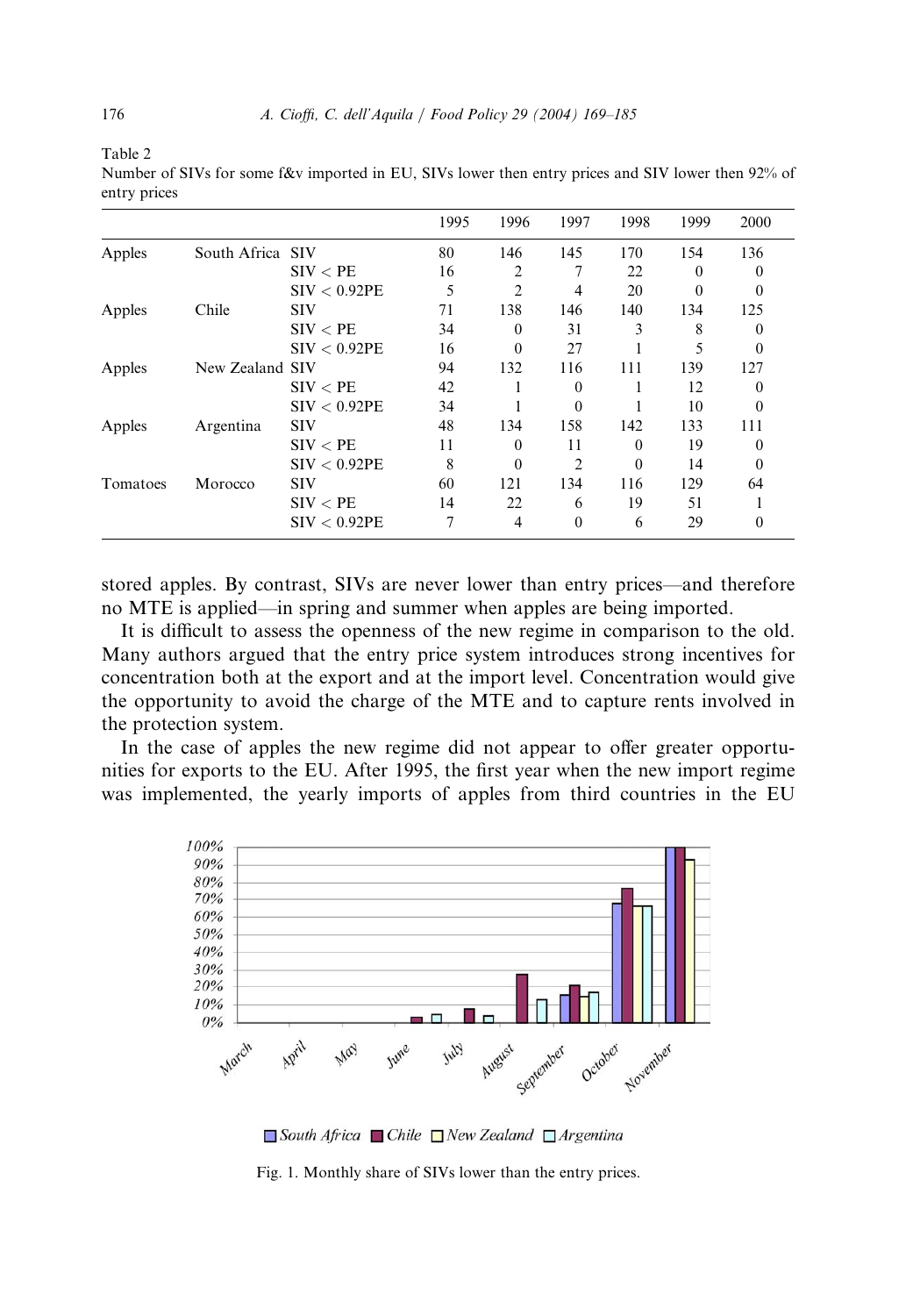<span id="page-7-0"></span>Table 2

Number of SIVs for some f&v imported in EU, SIVs lower then entry prices and SIV lower then 92% of entry prices

|          |                  |              | 1995 | 1996     | 1997           | 1998     | 1999     | 2000     |
|----------|------------------|--------------|------|----------|----------------|----------|----------|----------|
| Apples   | South Africa SIV |              | 80   | 146      | 145            | 170      | 154      | 136      |
|          |                  | SIV < PE     | 16   | 2        | 7              | 22       | $\theta$ | $\Omega$ |
|          |                  | SIV < 0.92PE | 5    | 2        | 4              | 20       | $\Omega$ | $\theta$ |
| Apples   | Chile            | <b>SIV</b>   | 71   | 138      | 146            | 140      | 134      | 125      |
|          |                  | SIV < PE     | 34   | 0        | 31             | 3        | 8        | $\Omega$ |
|          |                  | SIV < 0.92PE | 16   | $\theta$ | 27             |          | 5        | $\Omega$ |
| Apples   | New Zealand SIV  |              | 94   | 132      | 116            | 111      | 139      | 127      |
|          |                  | SIV < PE     | 42   |          | $\theta$       |          | 12       | $\Omega$ |
|          |                  | SIV < 0.92PE | 34   |          | $\theta$       |          | 10       | $\theta$ |
| Apples   | Argentina        | <b>SIV</b>   | 48   | 134      | 158            | 142      | 133      | 111      |
|          |                  | SIV < PE     | 11   | 0        | 11             | $\Omega$ | 19       | 0        |
|          |                  | SIV < 0.92PE | 8    | $\theta$ | $\mathfrak{D}$ | $\Omega$ | 14       | $\Omega$ |
| Tomatoes | Morocco          | <b>SIV</b>   | 60   | 121      | 134            | 116      | 129      | 64       |
|          |                  | SIV < PE     | 14   | 22       | 6              | 19       | 51       |          |
|          |                  | SIV < 0.92PE | 7    | 4        | $\mathbf{0}$   | 6        | 29       | $\theta$ |

stored apples. By contrast, SIVs are never lower than entry prices—and therefore no MTE is applied—in spring and summer when apples are being imported.

It is difficult to assess the openness of the new regime in comparison to the old. Many authors argued that the entry price system introduces strong incentives for concentration both at the export and at the import level. Concentration would give the opportunity to avoid the charge of the MTE and to capture rents involved in the protection system.

In the case of apples the new regime did not appear to offer greater opportunities for exports to the EU. After 1995, the first year when the new import regime was implemented, the yearly imports of apples from third countries in the EU



 $\Box$  South Africa  $\Box$  Chile  $\Box$  New Zealand  $\Box$  Argentina

Fig. 1. Monthly share of SIVs lower than the entry prices.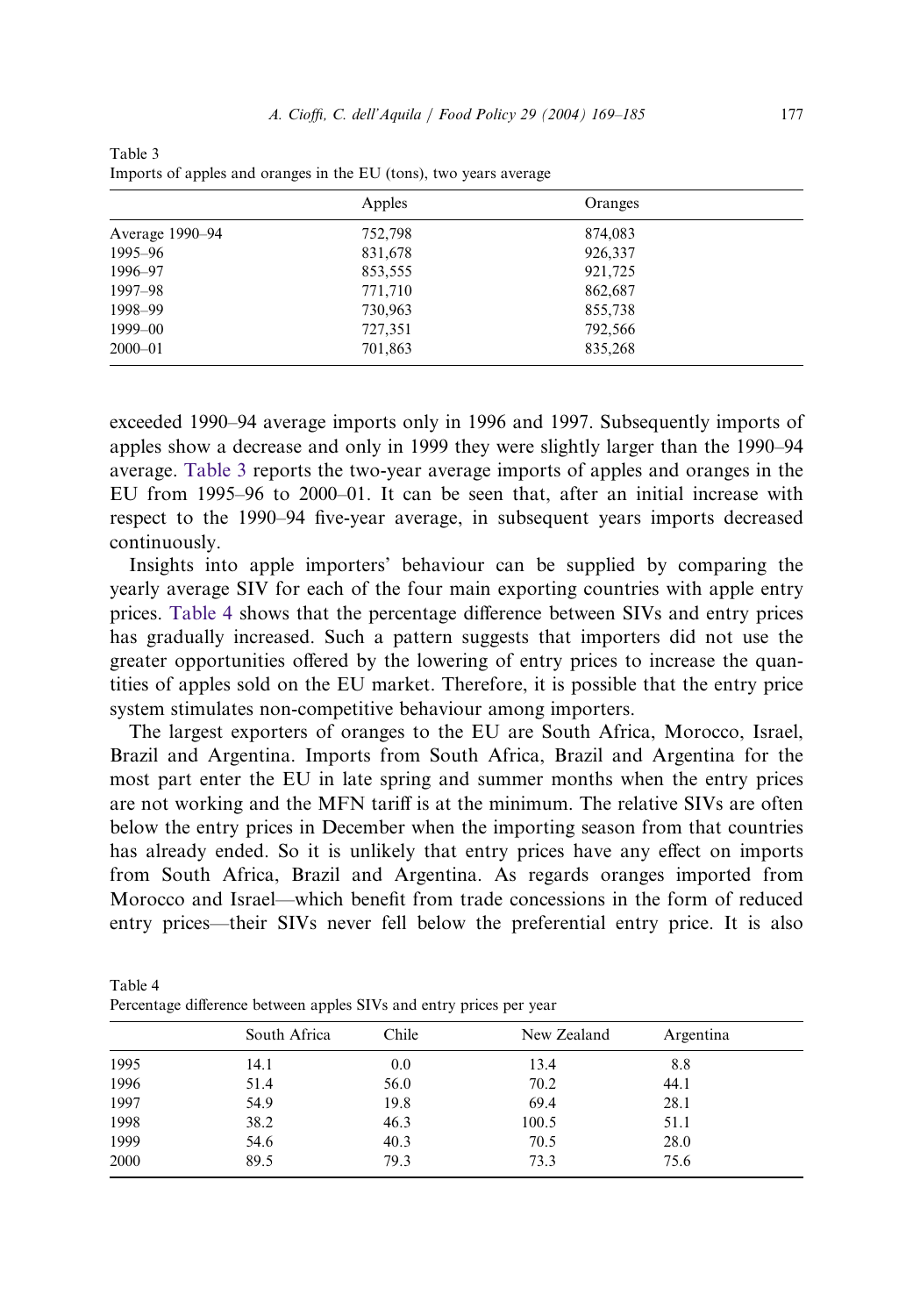|                 | Apples  | Oranges |  |
|-----------------|---------|---------|--|
| Average 1990–94 | 752,798 | 874,083 |  |
| 1995-96         | 831,678 | 926,337 |  |
| 1996-97         | 853,555 | 921,725 |  |
| 1997–98         | 771,710 | 862,687 |  |
| 1998-99         | 730,963 | 855,738 |  |
| 1999-00         | 727,351 | 792,566 |  |
| $2000 - 01$     | 701,863 | 835,268 |  |

Table 3 Imports of apples and oranges in the EU (tons), two years average

exceeded 1990–94 average imports only in 1996 and 1997. Subsequently imports of apples show a decrease and only in 1999 they were slightly larger than the 1990–94 average. Table 3 reports the two-year average imports of apples and oranges in the EU from 1995–96 to 2000–01. It can be seen that, after an initial increase with respect to the 1990–94 five-year average, in subsequent years imports decreased continuously.

Insights into apple importers' behaviour can be supplied by comparing the yearly average SIV for each of the four main exporting countries with apple entry prices. Table 4 shows that the percentage difference between SIVs and entry prices has gradually increased. Such a pattern suggests that importers did not use the greater opportunities offered by the lowering of entry prices to increase the quantities of apples sold on the EU market. Therefore, it is possible that the entry price system stimulates non-competitive behaviour among importers.

The largest exporters of oranges to the EU are South Africa, Morocco, Israel, Brazil and Argentina. Imports from South Africa, Brazil and Argentina for the most part enter the EU in late spring and summer months when the entry prices are not working and the MFN tariff is at the minimum. The relative SIVs are often below the entry prices in December when the importing season from that countries has already ended. So it is unlikely that entry prices have any effect on imports from South Africa, Brazil and Argentina. As regards oranges imported from Morocco and Israel—which benefit from trade concessions in the form of reduced entry prices—their SIVs never fell below the preferential entry price. It is also

Table 4 Percentage difference between apples SIVs and entry prices per year

|      | South Africa | Chile | New Zealand | Argentina |  |
|------|--------------|-------|-------------|-----------|--|
| 1995 | 14.1         | 0.0   | 13.4        | 8.8       |  |
| 1996 | 51.4         | 56.0  | 70.2        | 44.1      |  |
| 1997 | 54.9         | 19.8  | 69.4        | 28.1      |  |
| 1998 | 38.2         | 46.3  | 100.5       | 51.1      |  |
| 1999 | 54.6         | 40.3  | 70.5        | 28.0      |  |
| 2000 | 89.5         | 79.3  | 73.3        | 75.6      |  |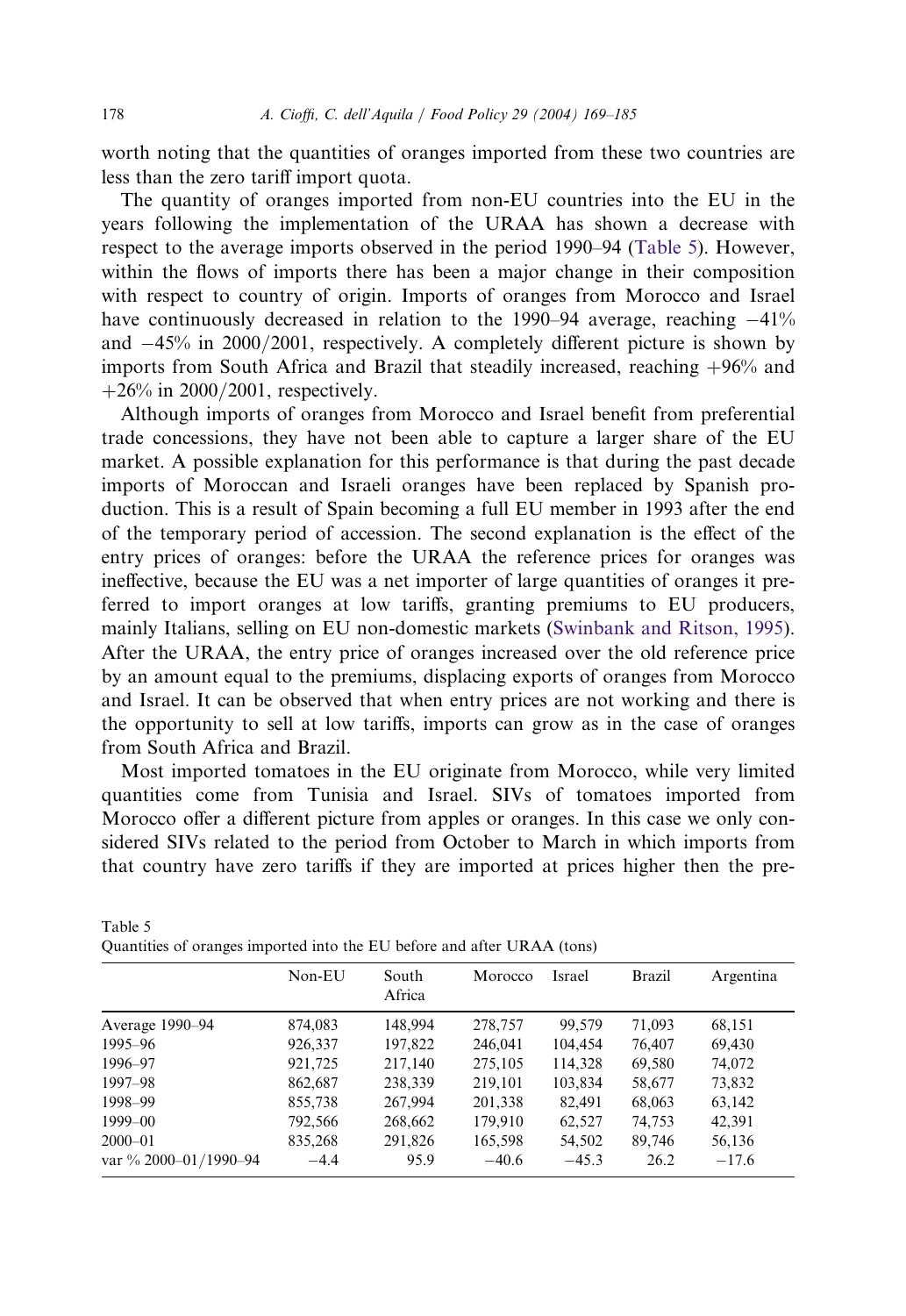worth noting that the quantities of oranges imported from these two countries are less than the zero tariff import quota.

The quantity of oranges imported from non-EU countries into the EU in the years following the implementation of the URAA has shown a decrease with respect to the average imports observed in the period 1990–94 (Table 5). However, within the flows of imports there has been a major change in their composition with respect to country of origin. Imports of oranges from Morocco and Israel have continuously decreased in relation to the 1990–94 average, reaching  $-41\%$ and  $-45\%$  in 2000/2001, respectively. A completely different picture is shown by imports from South Africa and Brazil that steadily increased, reaching  $+96\%$  and  $+26\%$  in 2000/2001, respectively.

Although imports of oranges from Morocco and Israel benefit from preferential trade concessions, they have not been able to capture a larger share of the EU market. A possible explanation for this performance is that during the past decade imports of Moroccan and Israeli oranges have been replaced by Spanish production. This is a result of Spain becoming a full EU member in 1993 after the end of the temporary period of accession. The second explanation is the effect of the entry prices of oranges: before the URAA the reference prices for oranges was ineffective, because the EU was a net importer of large quantities of oranges it preferred to import oranges at low tariffs, granting premiums to EU producers, mainly Italians, selling on EU non-domestic markets ([Swinbank and Ritson, 1995\)](#page-16-0). After the URAA, the entry price of oranges increased over the old reference price by an amount equal to the premiums, displacing exports of oranges from Morocco and Israel. It can be observed that when entry prices are not working and there is the opportunity to sell at low tariffs, imports can grow as in the case of oranges from South Africa and Brazil.

Most imported tomatoes in the EU originate from Morocco, while very limited quantities come from Tunisia and Israel. SIVs of tomatoes imported from Morocco offer a different picture from apples or oranges. In this case we only considered SIVs related to the period from October to March in which imports from that country have zero tariffs if they are imported at prices higher then the pre-

|                       | Non-EU  | South<br>Africa | Morocco | Israel  | Brazil | Argentina |
|-----------------------|---------|-----------------|---------|---------|--------|-----------|
| Average 1990-94       | 874,083 | 148.994         | 278,757 | 99,579  | 71,093 | 68,151    |
| 1995-96               | 926,337 | 197,822         | 246,041 | 104,454 | 76,407 | 69,430    |
| 1996-97               | 921,725 | 217.140         | 275,105 | 114,328 | 69,580 | 74,072    |
| 1997-98               | 862,687 | 238,339         | 219,101 | 103,834 | 58,677 | 73,832    |
| 1998-99               | 855,738 | 267.994         | 201,338 | 82.491  | 68,063 | 63,142    |
| $1999 - 00$           | 792,566 | 268,662         | 179,910 | 62,527  | 74,753 | 42,391    |
| $2000 - 01$           | 835,268 | 291,826         | 165,598 | 54,502  | 89,746 | 56,136    |
| var % 2000-01/1990-94 | $-4.4$  | 95.9            | $-40.6$ | $-45.3$ | 26.2   | $-17.6$   |

| Table 5                                                                 |  |
|-------------------------------------------------------------------------|--|
| Quantities of oranges imported into the EU before and after URAA (tons) |  |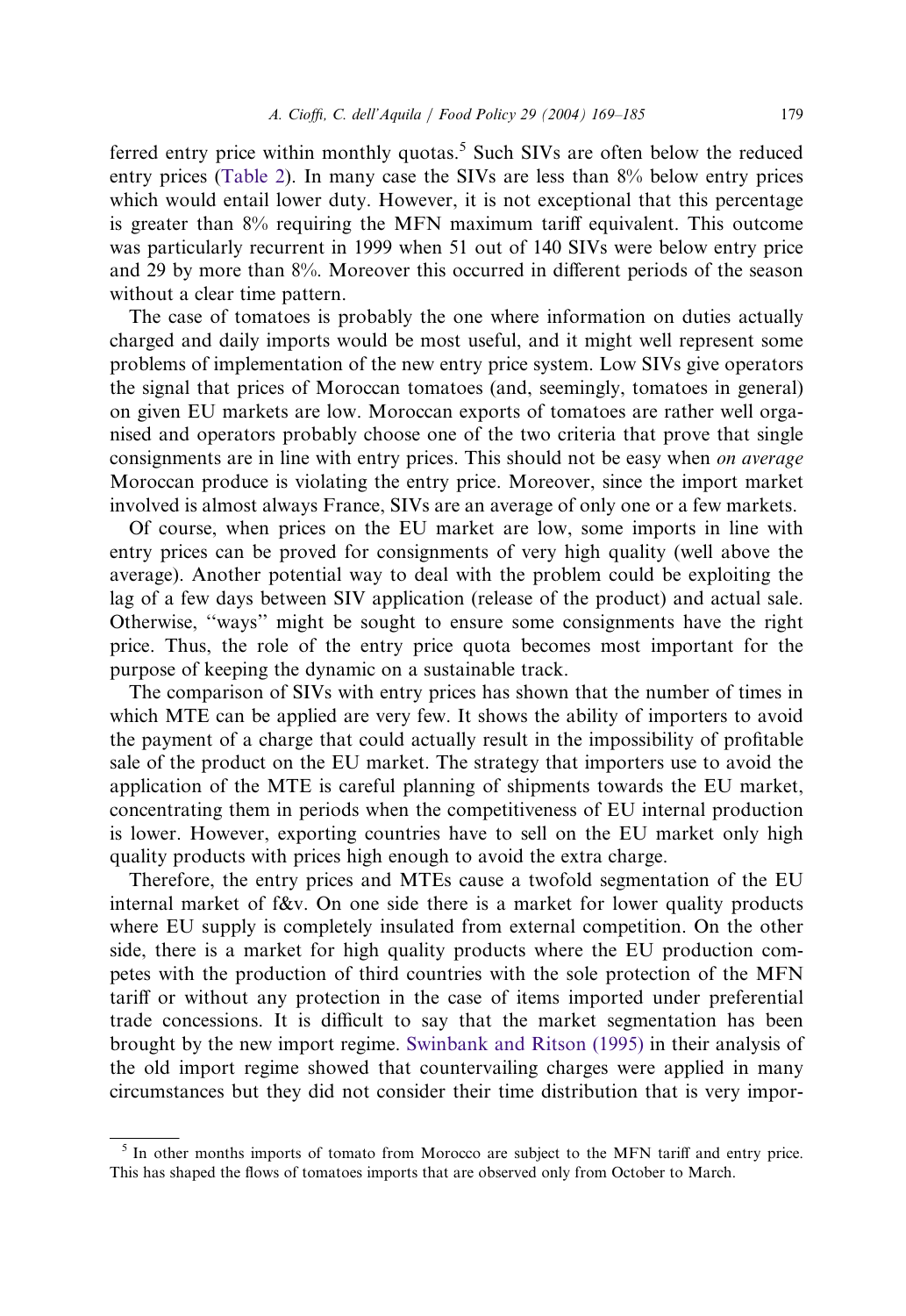ferred entry price within monthly quotas.<sup>5</sup> Such SIVs are often below the reduced entry prices [\(Table 2](#page-7-0)). In many case the SIVs are less than 8% below entry prices which would entail lower duty. However, it is not exceptional that this percentage is greater than 8% requiring the MFN maximum tariff equivalent. This outcome was particularly recurrent in 1999 when 51 out of 140 SIVs were below entry price and 29 by more than 8%. Moreover this occurred in different periods of the season without a clear time pattern.

The case of tomatoes is probably the one where information on duties actually charged and daily imports would be most useful, and it might well represent some problems of implementation of the new entry price system. Low SIVs give operators the signal that prices of Moroccan tomatoes (and, seemingly, tomatoes in general) on given EU markets are low. Moroccan exports of tomatoes are rather well organised and operators probably choose one of the two criteria that prove that single consignments are in line with entry prices. This should not be easy when *on average* Moroccan produce is violating the entry price. Moreover, since the import market involved is almost always France, SIVs are an average of only one or a few markets.

Of course, when prices on the EU market are low, some imports in line with entry prices can be proved for consignments of very high quality (well above the average). Another potential way to deal with the problem could be exploiting the lag of a few days between SIV application (release of the product) and actual sale. Otherwise, ''ways'' might be sought to ensure some consignments have the right price. Thus, the role of the entry price quota becomes most important for the purpose of keeping the dynamic on a sustainable track.

The comparison of SIVs with entry prices has shown that the number of times in which MTE can be applied are very few. It shows the ability of importers to avoid the payment of a charge that could actually result in the impossibility of profitable sale of the product on the EU market. The strategy that importers use to avoid the application of the MTE is careful planning of shipments towards the EU market, concentrating them in periods when the competitiveness of EU internal production is lower. However, exporting countries have to sell on the EU market only high quality products with prices high enough to avoid the extra charge.

Therefore, the entry prices and MTEs cause a twofold segmentation of the EU internal market of f&v. On one side there is a market for lower quality products where EU supply is completely insulated from external competition. On the other side, there is a market for high quality products where the EU production competes with the production of third countries with the sole protection of the MFN tariff or without any protection in the case of items imported under preferential trade concessions. It is difficult to say that the market segmentation has been brought by the new import regime. [Swinbank and Ritson \(1995\)](#page-16-0) in their analysis of the old import regime showed that countervailing charges were applied in many circumstances but they did not consider their time distribution that is very impor-

 $<sup>5</sup>$  In other months imports of tomato from Morocco are subject to the MFN tariff and entry price.</sup> This has shaped the flows of tomatoes imports that are observed only from October to March.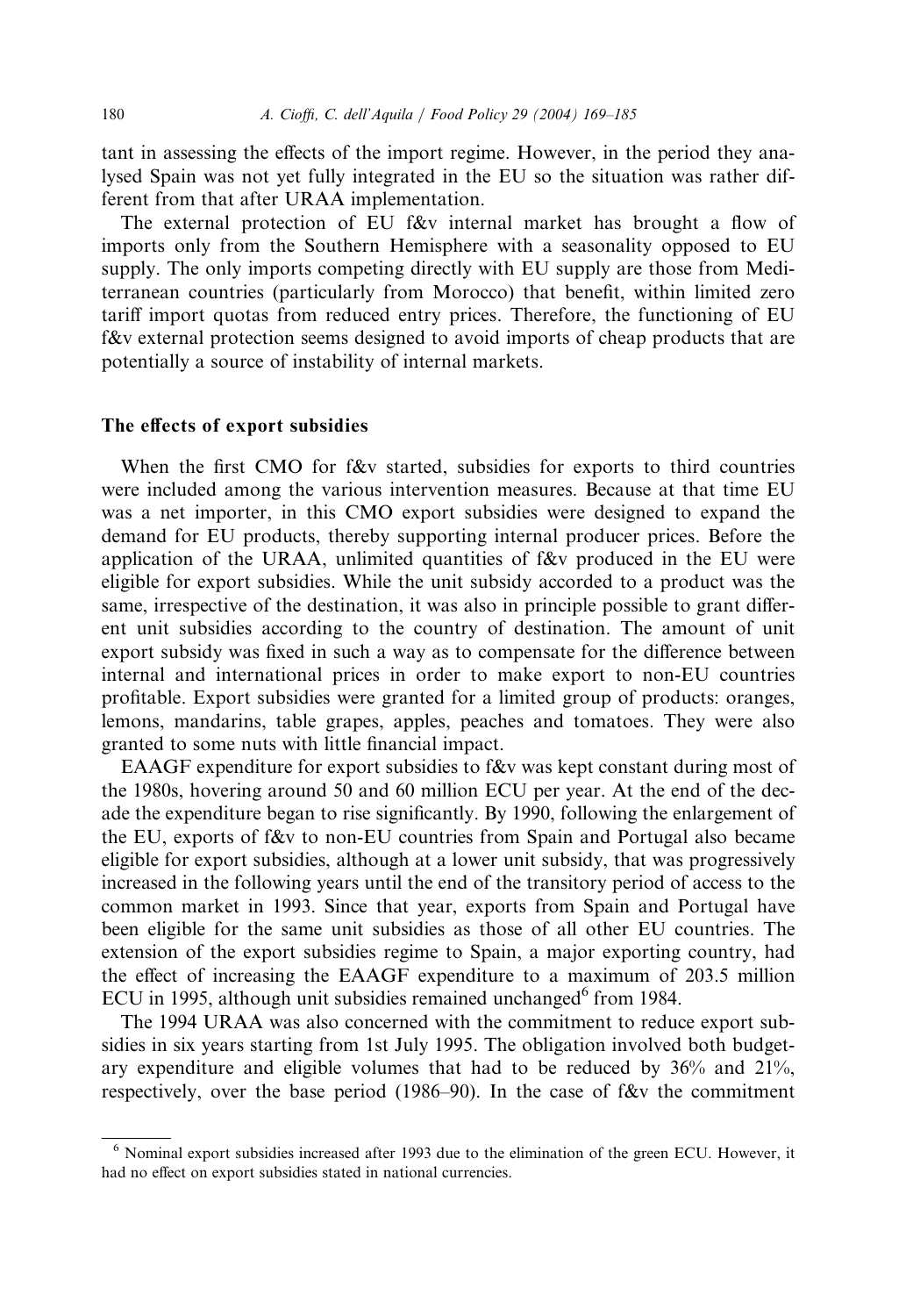tant in assessing the effects of the import regime. However, in the period they analysed Spain was not yet fully integrated in the EU so the situation was rather different from that after URAA implementation.

The external protection of EU f&v internal market has brought a flow of imports only from the Southern Hemisphere with a seasonality opposed to EU supply. The only imports competing directly with EU supply are those from Mediterranean countries (particularly from Morocco) that benefit, within limited zero tariff import quotas from reduced entry prices. Therefore, the functioning of EU f&v external protection seems designed to avoid imports of cheap products that are potentially a source of instability of internal markets.

#### The effects of export subsidies

When the first CMO for f&v started, subsidies for exports to third countries were included among the various intervention measures. Because at that time EU was a net importer, in this CMO export subsidies were designed to expand the demand for EU products, thereby supporting internal producer prices. Before the application of the URAA, unlimited quantities of f&v produced in the EU were eligible for export subsidies. While the unit subsidy accorded to a product was the same, irrespective of the destination, it was also in principle possible to grant different unit subsidies according to the country of destination. The amount of unit export subsidy was fixed in such a way as to compensate for the difference between internal and international prices in order to make export to non-EU countries profitable. Export subsidies were granted for a limited group of products: oranges, lemons, mandarins, table grapes, apples, peaches and tomatoes. They were also granted to some nuts with little financial impact.

EAAGF expenditure for export subsidies to f&v was kept constant during most of the 1980s, hovering around 50 and 60 million ECU per year. At the end of the decade the expenditure began to rise significantly. By 1990, following the enlargement of the EU, exports of f&v to non-EU countries from Spain and Portugal also became eligible for export subsidies, although at a lower unit subsidy, that was progressively increased in the following years until the end of the transitory period of access to the common market in 1993. Since that year, exports from Spain and Portugal have been eligible for the same unit subsidies as those of all other EU countries. The extension of the export subsidies regime to Spain, a major exporting country, had the effect of increasing the EAAGF expenditure to a maximum of 203.5 million ECU in 1995, although unit subsidies remained unchanged $6$  from 1984.

The 1994 URAA was also concerned with the commitment to reduce export subsidies in six years starting from 1st July 1995. The obligation involved both budgetary expenditure and eligible volumes that had to be reduced by 36% and 21%, respectively, over the base period (1986–90). In the case of f&v the commitment

<sup>6</sup> Nominal export subsidies increased after 1993 due to the elimination of the green ECU. However, it had no effect on export subsidies stated in national currencies.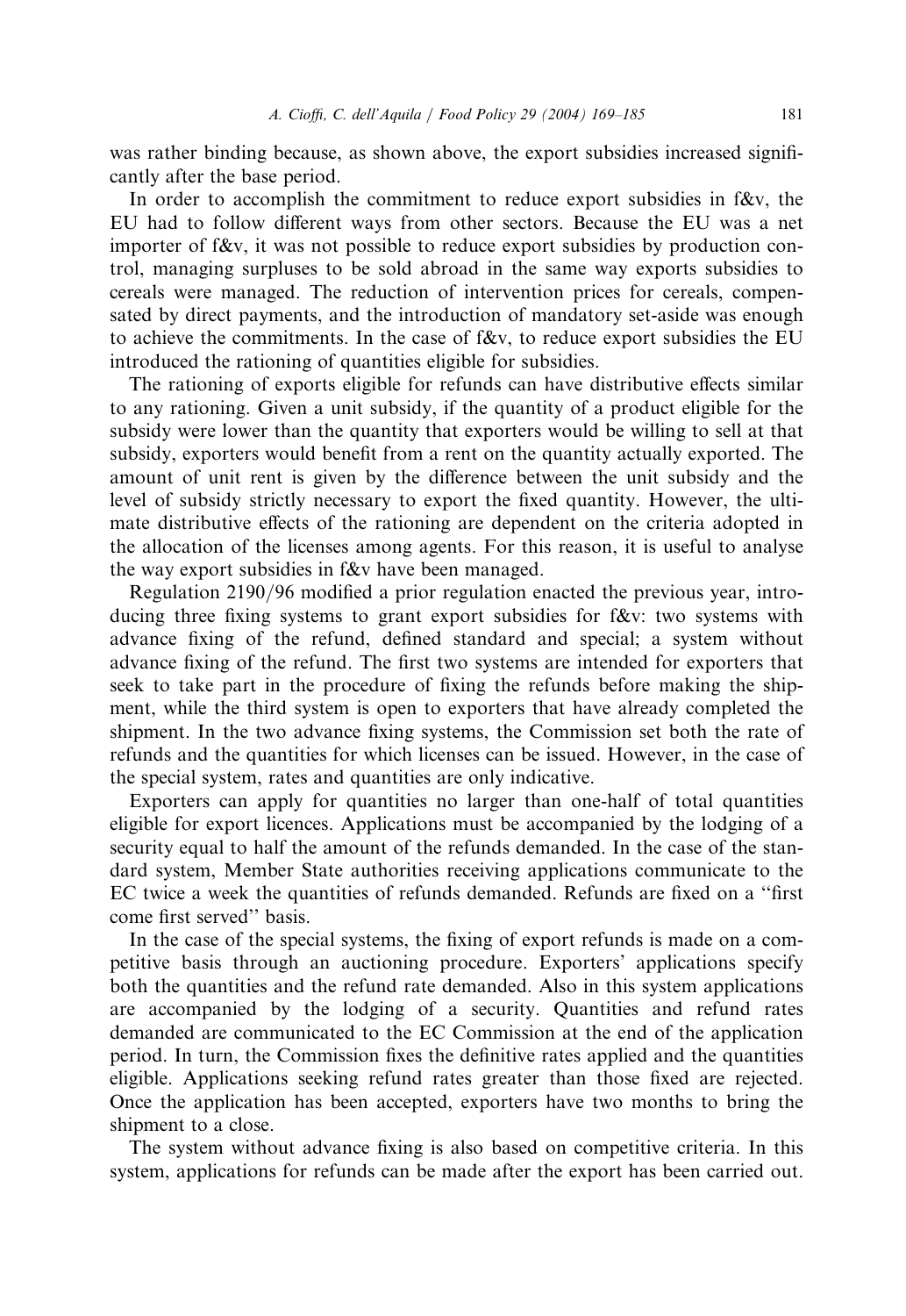was rather binding because, as shown above, the export subsidies increased significantly after the base period.

In order to accomplish the commitment to reduce export subsidies in f&v, the EU had to follow different ways from other sectors. Because the EU was a net importer of f&v, it was not possible to reduce export subsidies by production control, managing surpluses to be sold abroad in the same way exports subsidies to cereals were managed. The reduction of intervention prices for cereals, compensated by direct payments, and the introduction of mandatory set-aside was enough to achieve the commitments. In the case of f&v, to reduce export subsidies the EU introduced the rationing of quantities eligible for subsidies.

The rationing of exports eligible for refunds can have distributive effects similar to any rationing. Given a unit subsidy, if the quantity of a product eligible for the subsidy were lower than the quantity that exporters would be willing to sell at that subsidy, exporters would benefit from a rent on the quantity actually exported. The amount of unit rent is given by the difference between the unit subsidy and the level of subsidy strictly necessary to export the fixed quantity. However, the ultimate distributive effects of the rationing are dependent on the criteria adopted in the allocation of the licenses among agents. For this reason, it is useful to analyse the way export subsidies in f&v have been managed.

Regulation 2190/96 modified a prior regulation enacted the previous year, introducing three fixing systems to grant export subsidies for f&v: two systems with advance fixing of the refund, defined standard and special; a system without advance fixing of the refund. The first two systems are intended for exporters that seek to take part in the procedure of fixing the refunds before making the shipment, while the third system is open to exporters that have already completed the shipment. In the two advance fixing systems, the Commission set both the rate of refunds and the quantities for which licenses can be issued. However, in the case of the special system, rates and quantities are only indicative.

Exporters can apply for quantities no larger than one-half of total quantities eligible for export licences. Applications must be accompanied by the lodging of a security equal to half the amount of the refunds demanded. In the case of the standard system, Member State authorities receiving applications communicate to the EC twice a week the quantities of refunds demanded. Refunds are fixed on a ''first come first served'' basis.

In the case of the special systems, the fixing of export refunds is made on a competitive basis through an auctioning procedure. Exporters' applications specify both the quantities and the refund rate demanded. Also in this system applications are accompanied by the lodging of a security. Quantities and refund rates demanded are communicated to the EC Commission at the end of the application period. In turn, the Commission fixes the definitive rates applied and the quantities eligible. Applications seeking refund rates greater than those fixed are rejected. Once the application has been accepted, exporters have two months to bring the shipment to a close.

The system without advance fixing is also based on competitive criteria. In this system, applications for refunds can be made after the export has been carried out.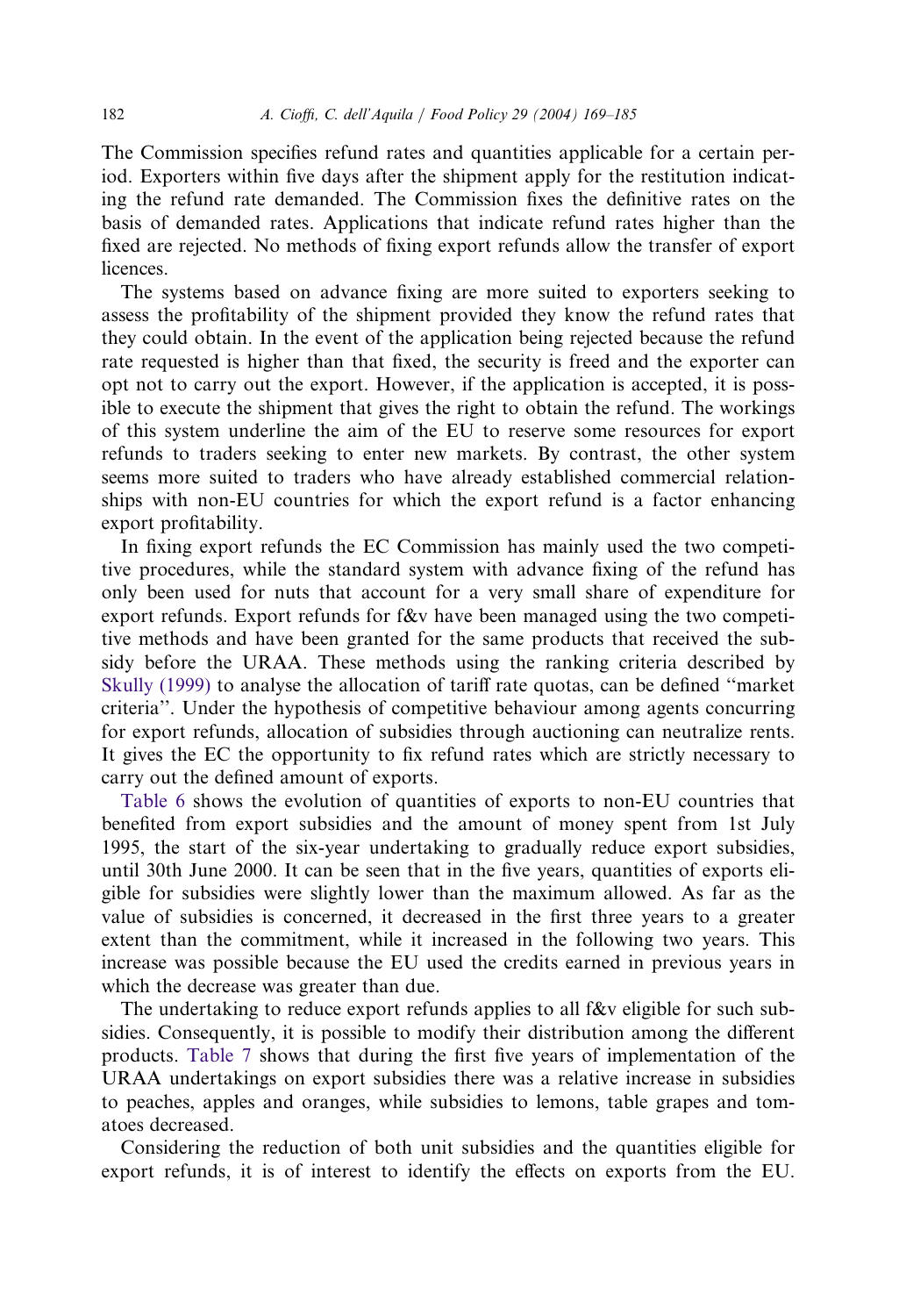The Commission specifies refund rates and quantities applicable for a certain period. Exporters within five days after the shipment apply for the restitution indicating the refund rate demanded. The Commission fixes the definitive rates on the basis of demanded rates. Applications that indicate refund rates higher than the fixed are rejected. No methods of fixing export refunds allow the transfer of export licences.

The systems based on advance fixing are more suited to exporters seeking to assess the profitability of the shipment provided they know the refund rates that they could obtain. In the event of the application being rejected because the refund rate requested is higher than that fixed, the security is freed and the exporter can opt not to carry out the export. However, if the application is accepted, it is possible to execute the shipment that gives the right to obtain the refund. The workings of this system underline the aim of the EU to reserve some resources for export refunds to traders seeking to enter new markets. By contrast, the other system seems more suited to traders who have already established commercial relationships with non-EU countries for which the export refund is a factor enhancing export profitability.

In fixing export refunds the EC Commission has mainly used the two competitive procedures, while the standard system with advance fixing of the refund has only been used for nuts that account for a very small share of expenditure for export refunds. Export refunds for f&v have been managed using the two competitive methods and have been granted for the same products that received the subsidy before the URAA. These methods using the ranking criteria described by [Skully \(1999\)](#page-16-0) to analyse the allocation of tariff rate quotas, can be defined ''market criteria''. Under the hypothesis of competitive behaviour among agents concurring for export refunds, allocation of subsidies through auctioning can neutralize rents. It gives the EC the opportunity to fix refund rates which are strictly necessary to carry out the defined amount of exports.

[Table 6](#page-14-0) shows the evolution of quantities of exports to non-EU countries that benefited from export subsidies and the amount of money spent from 1st July 1995, the start of the six-year undertaking to gradually reduce export subsidies, until 30th June 2000. It can be seen that in the five years, quantities of exports eligible for subsidies were slightly lower than the maximum allowed. As far as the value of subsidies is concerned, it decreased in the first three years to a greater extent than the commitment, while it increased in the following two years. This increase was possible because the EU used the credits earned in previous years in which the decrease was greater than due.

The undertaking to reduce export refunds applies to all f&v eligible for such subsidies. Consequently, it is possible to modify their distribution among the different products. [Table 7](#page-15-0) shows that during the first five years of implementation of the URAA undertakings on export subsidies there was a relative increase in subsidies to peaches, apples and oranges, while subsidies to lemons, table grapes and tomatoes decreased.

Considering the reduction of both unit subsidies and the quantities eligible for export refunds, it is of interest to identify the effects on exports from the EU.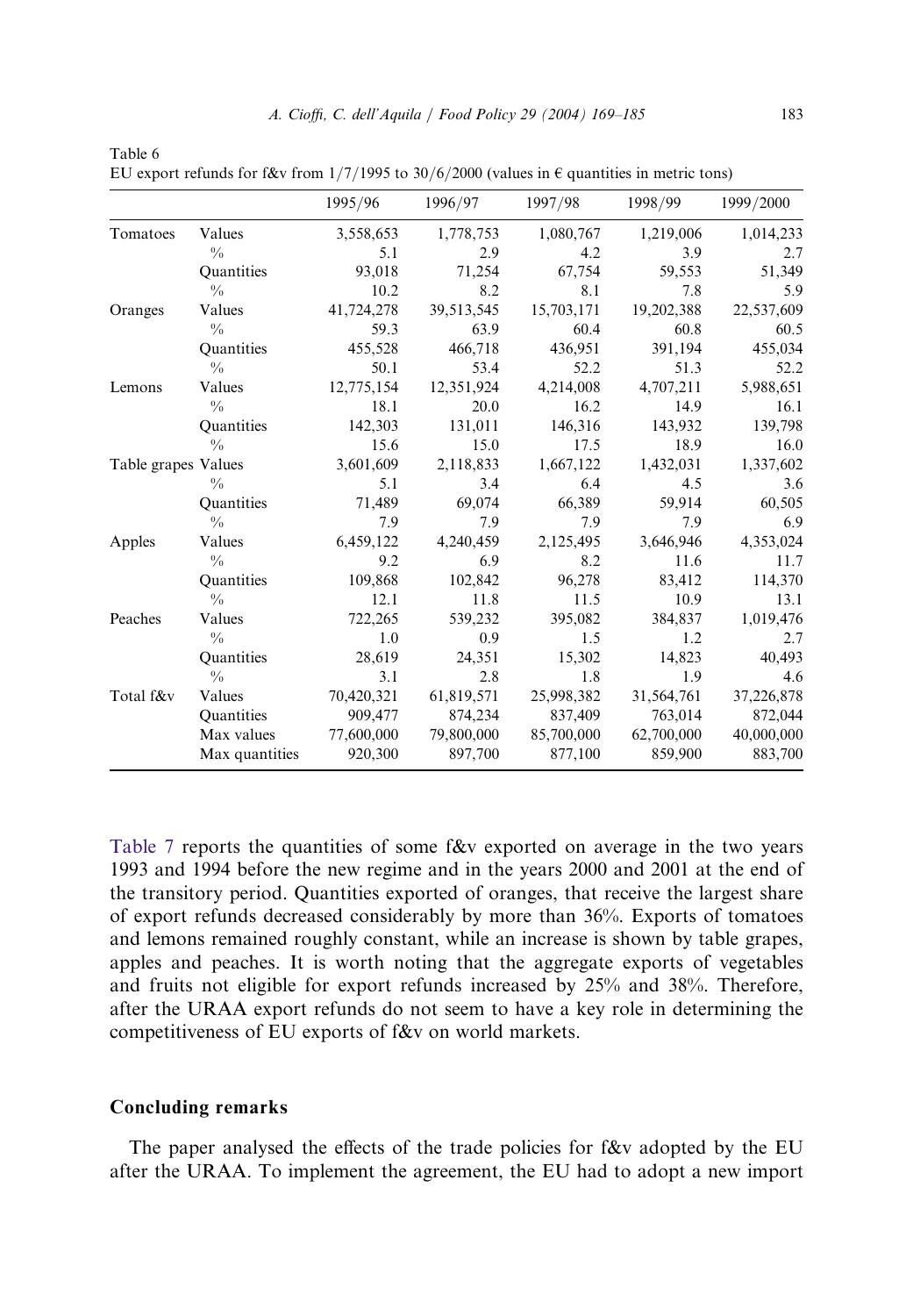|                     |                   | 1995/96    | 1996/97    | 1997/98    | 1998/99    | 1999/2000  |
|---------------------|-------------------|------------|------------|------------|------------|------------|
| Tomatoes            | Values            | 3,558,653  | 1,778,753  | 1,080,767  | 1,219,006  | 1,014,233  |
|                     | $\frac{0}{0}$     | 5.1        | 2.9        | 4.2        | 3.9        | 2.7        |
|                     | <b>Quantities</b> | 93.018     | 71,254     | 67,754     | 59,553     | 51,349     |
|                     | $\frac{0}{0}$     | 10.2       | 8.2        | 8.1        | 7.8        | 5.9        |
| Oranges             | Values            | 41,724,278 | 39,513,545 | 15,703,171 | 19,202,388 | 22,537,609 |
|                     | $\frac{0}{0}$     | 59.3       | 63.9       | 60.4       | 60.8       | 60.5       |
|                     | <b>Quantities</b> | 455,528    | 466,718    | 436,951    | 391,194    | 455,034    |
|                     | $\frac{0}{0}$     | 50.1       | 53.4       | 52.2       | 51.3       | 52.2       |
| Lemons              | Values            | 12,775,154 | 12,351,924 | 4,214,008  | 4,707,211  | 5,988,651  |
|                     | $\frac{0}{0}$     | 18.1       | 20.0       | 16.2       | 14.9       | 16.1       |
|                     | <b>Quantities</b> | 142,303    | 131,011    | 146,316    | 143,932    | 139,798    |
|                     | $\frac{0}{0}$     | 15.6       | 15.0       | 17.5       | 18.9       | 16.0       |
| Table grapes Values |                   | 3,601,609  | 2,118,833  | 1,667,122  | 1,432,031  | 1,337,602  |
|                     | $\frac{0}{0}$     | 5.1        | 3.4        | 6.4        | 4.5        | 3.6        |
|                     | Quantities        | 71,489     | 69,074     | 66,389     | 59,914     | 60,505     |
|                     | $\frac{0}{0}$     | 7.9        | 7.9        | 7.9        | 7.9        | 6.9        |
| Apples              | Values            | 6,459,122  | 4,240,459  | 2,125,495  | 3,646,946  | 4,353,024  |
|                     | $\frac{0}{0}$     | 9.2        | 6.9        | 8.2        | 11.6       | 11.7       |
|                     | <b>Quantities</b> | 109,868    | 102,842    | 96,278     | 83,412     | 114,370    |
|                     | $\frac{0}{0}$     | 12.1       | 11.8       | 11.5       | 10.9       | 13.1       |
| Peaches             | Values            | 722,265    | 539,232    | 395,082    | 384,837    | 1,019,476  |
|                     | $\frac{0}{0}$     | 1.0        | 0.9        | 1.5        | 1.2        | 2.7        |
|                     | <b>Quantities</b> | 28,619     | 24,351     | 15,302     | 14.823     | 40,493     |
|                     | $\frac{0}{0}$     | 3.1        | 2.8        | 1.8        | 1.9        | 4.6        |
| Total f&v           | Values            | 70,420,321 | 61,819,571 | 25,998,382 | 31,564,761 | 37,226,878 |
|                     | Quantities        | 909,477    | 874,234    | 837,409    | 763,014    | 872,044    |
|                     | Max values        | 77,600,000 | 79,800,000 | 85,700,000 | 62,700,000 | 40,000,000 |
|                     | Max quantities    | 920,300    | 897,700    | 877,100    | 859,900    | 883,700    |

| EU export refunds for f&v from $1/7/1995$ to $30/6/2000$ (values in $\epsilon$ quantities in metric tons) |  |  |
|-----------------------------------------------------------------------------------------------------------|--|--|

[Table 7](#page-15-0) reports the quantities of some f&v exported on average in the two years 1993 and 1994 before the new regime and in the years 2000 and 2001 at the end of the transitory period. Quantities exported of oranges, that receive the largest share of export refunds decreased considerably by more than 36%. Exports of tomatoes and lemons remained roughly constant, while an increase is shown by table grapes, apples and peaches. It is worth noting that the aggregate exports of vegetables and fruits not eligible for export refunds increased by 25% and 38%. Therefore, after the URAA export refunds do not seem to have a key role in determining the competitiveness of EU exports of f&v on world markets.

## Concluding remarks

<span id="page-14-0"></span>Table 6

The paper analysed the effects of the trade policies for f&v adopted by the EU after the URAA. To implement the agreement, the EU had to adopt a new import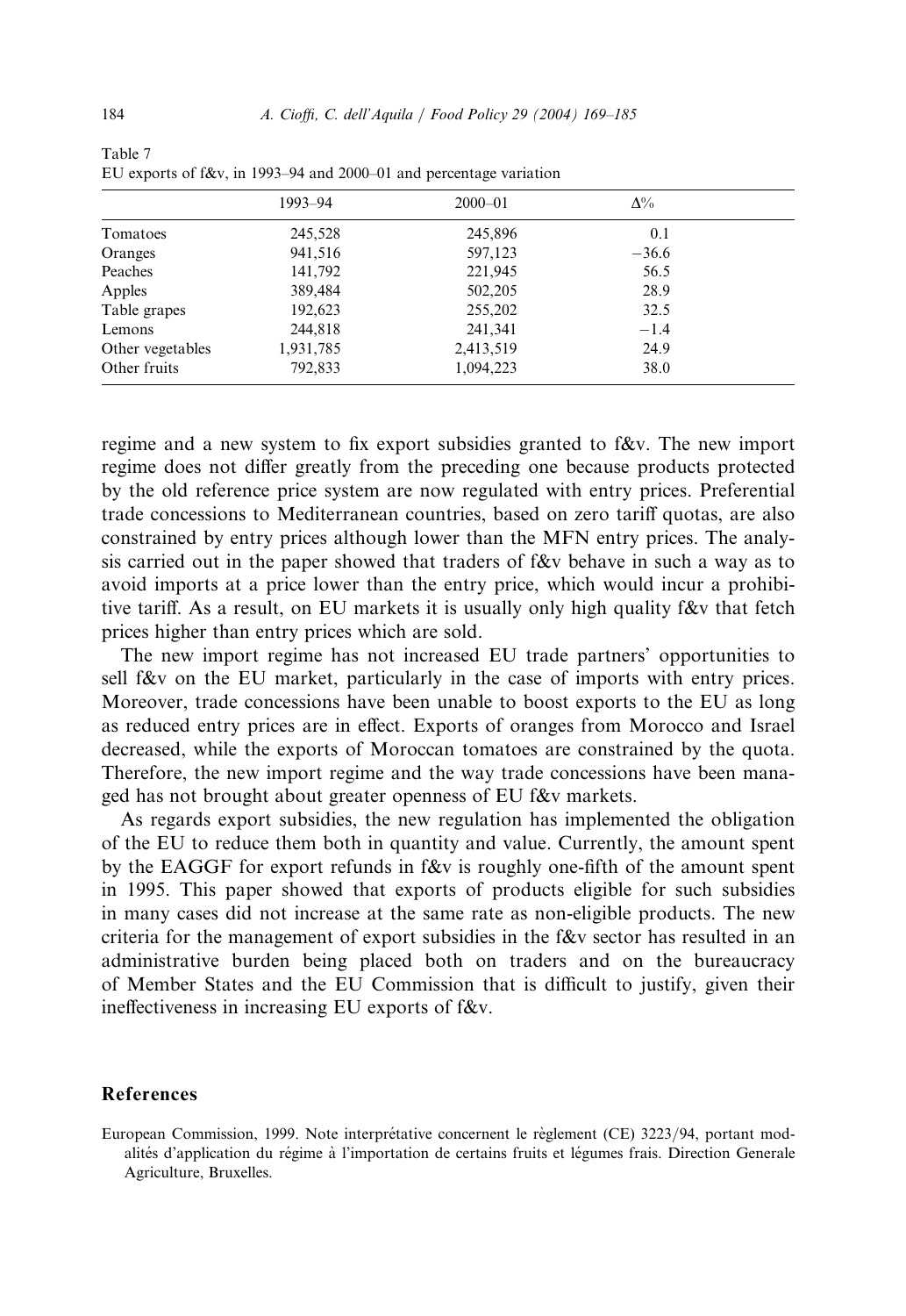|                  | 1993–94   | $2000 - 01$ | $\Delta\%$ |  |
|------------------|-----------|-------------|------------|--|
| Tomatoes         | 245,528   | 245,896     | 0.1        |  |
| Oranges          | 941,516   | 597,123     | $-36.6$    |  |
| Peaches          | 141,792   | 221,945     | 56.5       |  |
| Apples           | 389.484   | 502,205     | 28.9       |  |
| Table grapes     | 192,623   | 255,202     | 32.5       |  |
| Lemons           | 244,818   | 241,341     | $-1.4$     |  |
| Other vegetables | 1,931,785 | 2,413,519   | 24.9       |  |
| Other fruits     | 792,833   | 1,094,223   | 38.0       |  |

| raviv / |                                                                    |  |
|---------|--------------------------------------------------------------------|--|
|         | EU exports of f&v, in 1993–94 and 2000–01 and percentage variation |  |

regime and a new system to fix export subsidies granted to f&v. The new import regime does not differ greatly from the preceding one because products protected by the old reference price system are now regulated with entry prices. Preferential trade concessions to Mediterranean countries, based on zero tariff quotas, are also constrained by entry prices although lower than the MFN entry prices. The analysis carried out in the paper showed that traders of f&v behave in such a way as to avoid imports at a price lower than the entry price, which would incur a prohibitive tariff. As a result, on EU markets it is usually only high quality f&v that fetch prices higher than entry prices which are sold.

The new import regime has not increased EU trade partners' opportunities to sell f&v on the EU market, particularly in the case of imports with entry prices. Moreover, trade concessions have been unable to boost exports to the EU as long as reduced entry prices are in effect. Exports of oranges from Morocco and Israel decreased, while the exports of Moroccan tomatoes are constrained by the quota. Therefore, the new import regime and the way trade concessions have been managed has not brought about greater openness of EU f&v markets.

As regards export subsidies, the new regulation has implemented the obligation of the EU to reduce them both in quantity and value. Currently, the amount spent by the EAGGF for export refunds in f&v is roughly one-fifth of the amount spent in 1995. This paper showed that exports of products eligible for such subsidies in many cases did not increase at the same rate as non-eligible products. The new criteria for the management of export subsidies in the f&v sector has resulted in an administrative burden being placed both on traders and on the bureaucracy of Member States and the EU Commission that is difficult to justify, given their ineffectiveness in increasing EU exports of f&v.

## References

<span id="page-15-0"></span>Table 7

European Commission, 1999. Note interprétative concernent le règlement (CE) 3223/94, portant modalités d'application du régime à l'importation de certains fruits et légumes frais. Direction Generale Agriculture, Bruxelles.